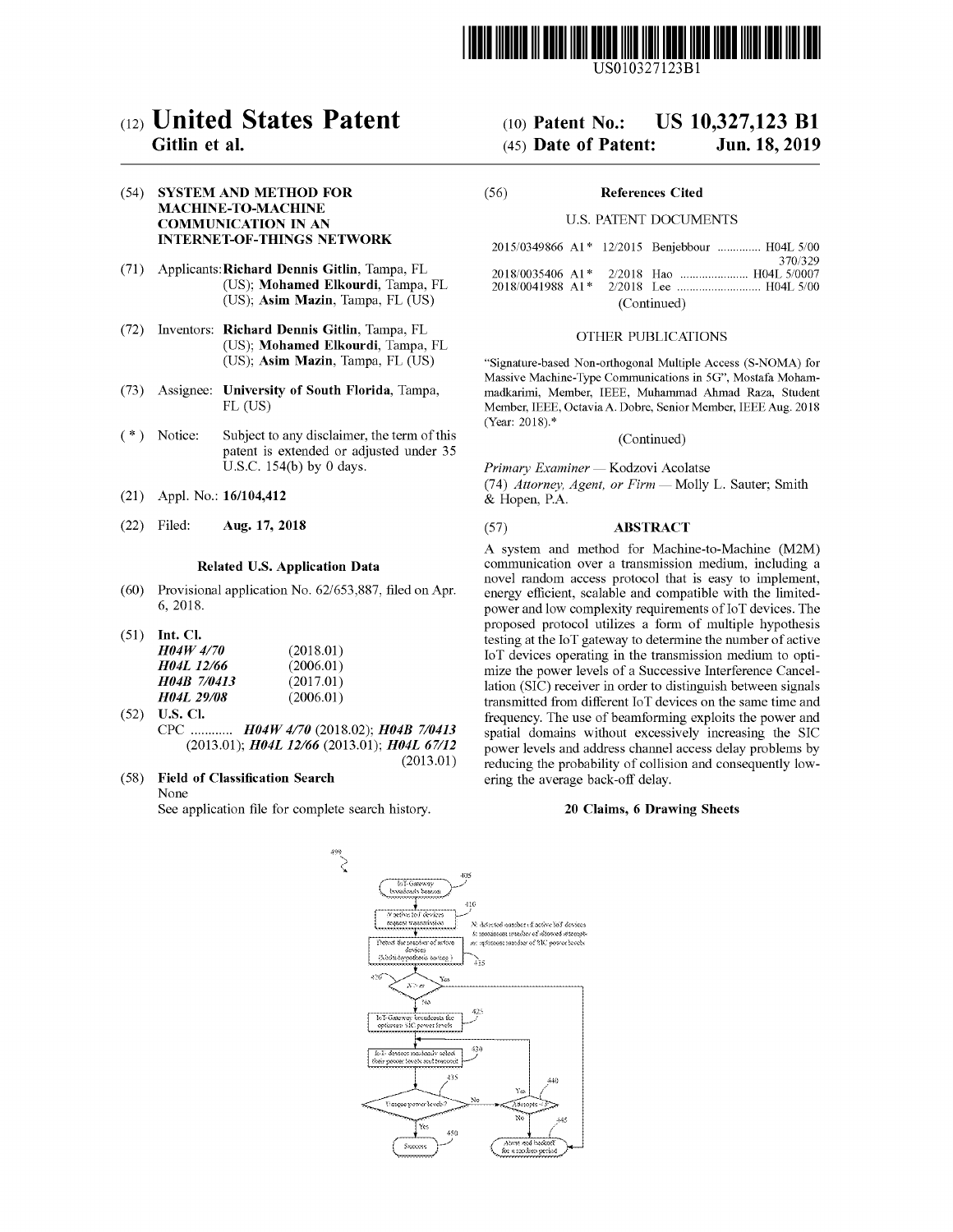

USOI0327123Bl

# (12) **United States Patent**

# Gitlin et al.

## (54) SYSTEM AND METHOD FOR MACHINE-TO-MACHINE COMMUNICATION IN AN INTERNET-OF-THINGS NETWORK

- (71) Applicants:Richard Dennis Gitlin, Tampa, FL (US); Mohamed Elkourdi, Tampa, FL (US); Asim Mazin, Tampa, FL (US)
- (72) Inventors: Richard Dennis Gitlin, Tampa, FL (US); Mohamed Elkourdi, Tampa, FL (US); Asim Mazin, Tampa, FL (US)
- (73) Assignee: University of South Florida, Tampa, FL (US)
- ( \*) Notice: Subject to any disclaimer, the term of this patent is extended or adjusted under 35 U.S.c. 154(b) by 0 days.
- (21) Appl. No.: 161104,412
- 

#### Related U.S. Application Data

- (60) Provisional application No. 62/653,887, filed on Apr. 6,2018.
- (51) Int. Cl.

| <i>H04W 4/70</i>         | (2018.01) |
|--------------------------|-----------|
| H04L 12/66               | (2006.01) |
| <b>H04B 7/0413</b>       | (2017.01) |
| <i><b>HO4L 29/08</b></i> | (2006.01) |

- (52) U.S. Cl. CPC *H04W 4/70* (2018.02); *H04B 7/0413* (2013.01); *H04L* 12/66 (2013.01); *H04L 67/12* (2013.01)
- (58) Field of Classification Search None

See application file for complete search history.

# (10) Patent No.: US 10,327,123 **Bl** (45) Date of Patent: Jun. 18,2019

#### (56) References Cited

#### U.S. PATENT DOCUMENTS

|                  |  |  | 2015/0349866 A1* 12/2015 Benjebbour  H04L 5/00 |  |  |
|------------------|--|--|------------------------------------------------|--|--|
|                  |  |  | 370/329                                        |  |  |
| 2018/0035406 A1* |  |  |                                                |  |  |
| 2018/0041988 A1* |  |  |                                                |  |  |
| (Continued)      |  |  |                                                |  |  |

#### OTHER PUBLICATIONS

"Signature-based Non-orthogonal Multiple Access (S-NOMA) for Massive Machine-Type Communications in 5G", Mostafa Mohammadkarimi, Member, IEEE, Muhammad Ahmad Raza, Student Member, IEEE, Octavia A. Dobre, Senior Member, IEEE Aug. 2018 (Year: 2018).\*

#### (Continued)

*Primary Examiner* - Kodzovi Acolatse

*(74) Attorney, Agent, or Firm* - Molly L. Sauter; Smith & Hopen, P.A.

# (22) Filed: Aug. 17, 2018 (57) ABSTRACT

A system and method for Machine-to-Machine (M2M) communication over a transmission medium, including a novel random access protocol that is easy to implement, energy efficient, scalable and compatible with the limitedpower and low complexity requirements of IoT devices. The proposed protocol utilizes a form of multiple hypothesis testing at the loT gateway to determine the number of active loT devices operating in the transmission medium to optimize the power levels of a Successive Interference Cancellation (SIC) receiver in order to distinguish between signals transmitted from different loT devices on the same time and frequency. The use of beamforming exploits the power and spatial domains without excessively increasing the SIC power levels and address channel access delay problems by reducing the probability of collision and consequently lowering the average back-off delay.

#### 20 Claims, 6 Drawing Sheets

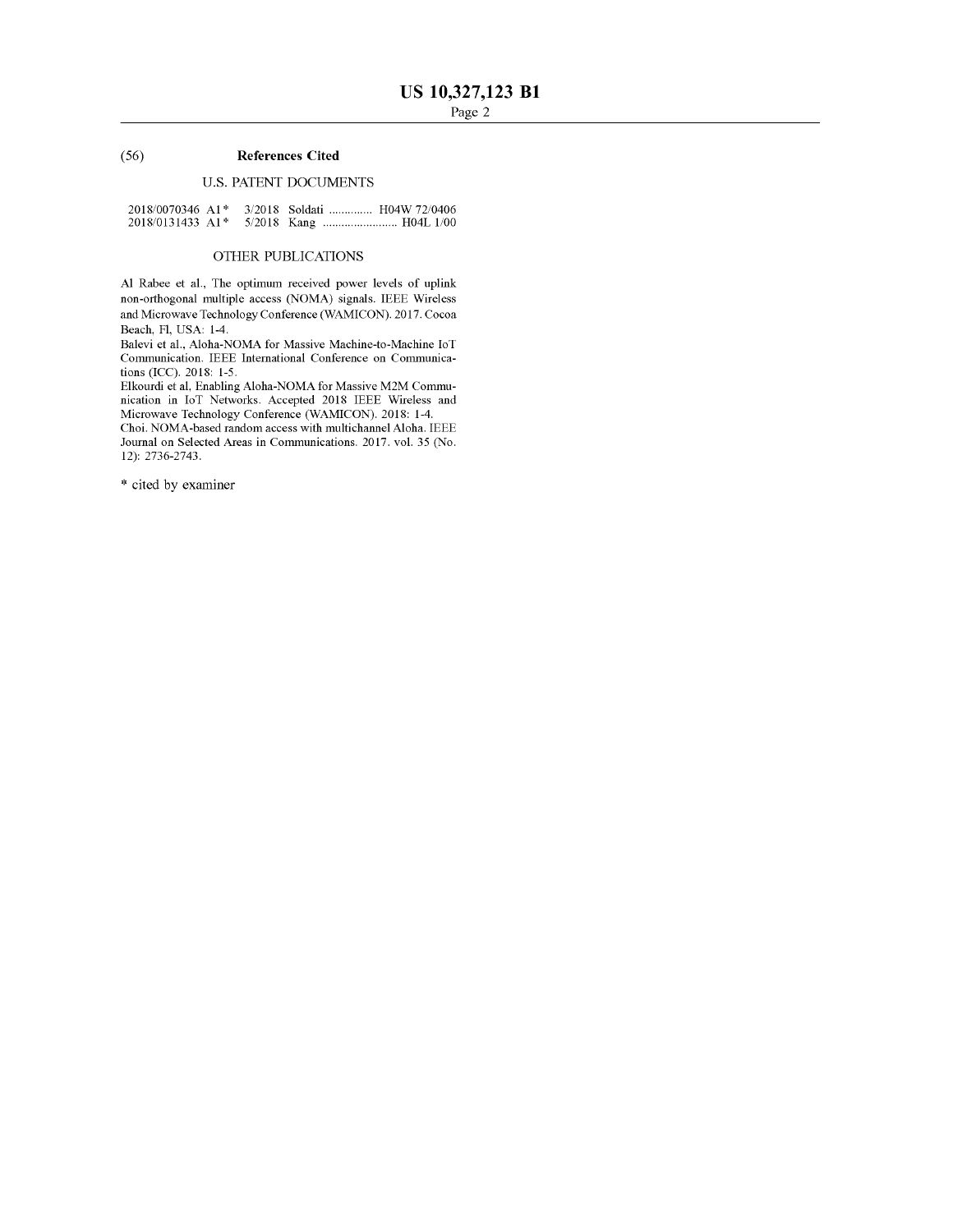## (56) **References Cited**

# u.s. PATENT DOCUMENTS

| $2018/0070346$ A <sub>1</sub> * |  | 3/2018 Soldati  H04W 72/0406 |  |
|---------------------------------|--|------------------------------|--|
| $2018/0131433$ A1 <sup>*</sup>  |  |                              |  |

# OTHER PUBLICATIONS

Al Rabee et aI., The optimum received power levels of uplink non-orthogonal multiple access (NOMA) signals. IEEE Wireless and Microwave Technology Conference (WAMICON). 2017. Cocoa Beach, Fl, USA: 1-4.

Balevi et aI., Aloha-NOMA for Massive Machine-to-Machine loT Communication. IEEE International Conference on Communications (ICC). 2018: 1-5.

Elkourdi et ai, Enabling Aloha-NOMA for Massive M2M Communication in loT Networks. Accepted 2018 IEEE Wireless and Microwave Technology Conference (WAMICON). 2018: 1-4.

Choi. NOMA-based random access with multichannel Aloha. IEEE Journal on Selected Areas in Communications. 2017. vol. 35 (No. 12): 2736-2743.

\* cited by examiner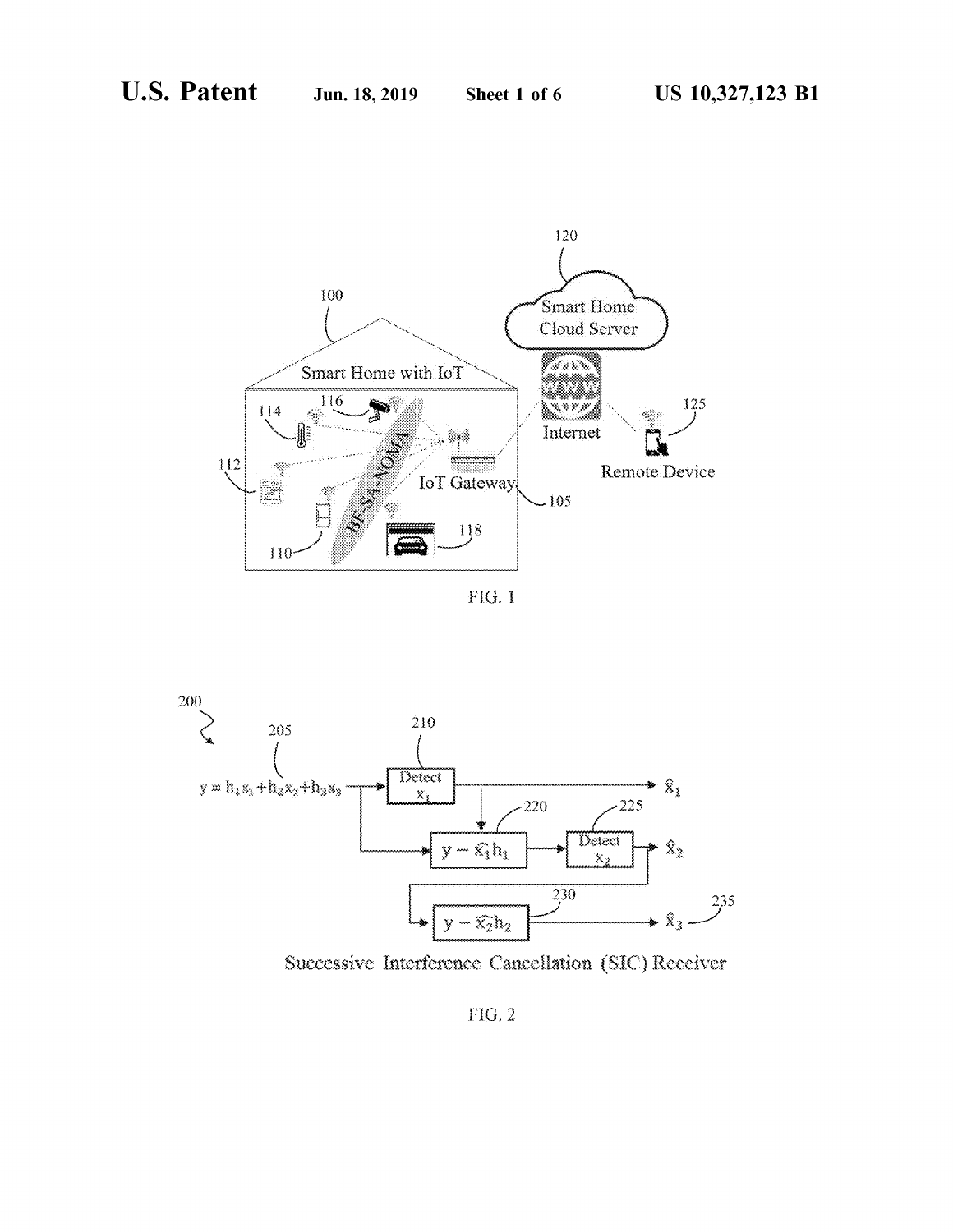

 $FIG. 1$ 



Successive Interference Cancellation (SIC) Receiver

FIG.  $2$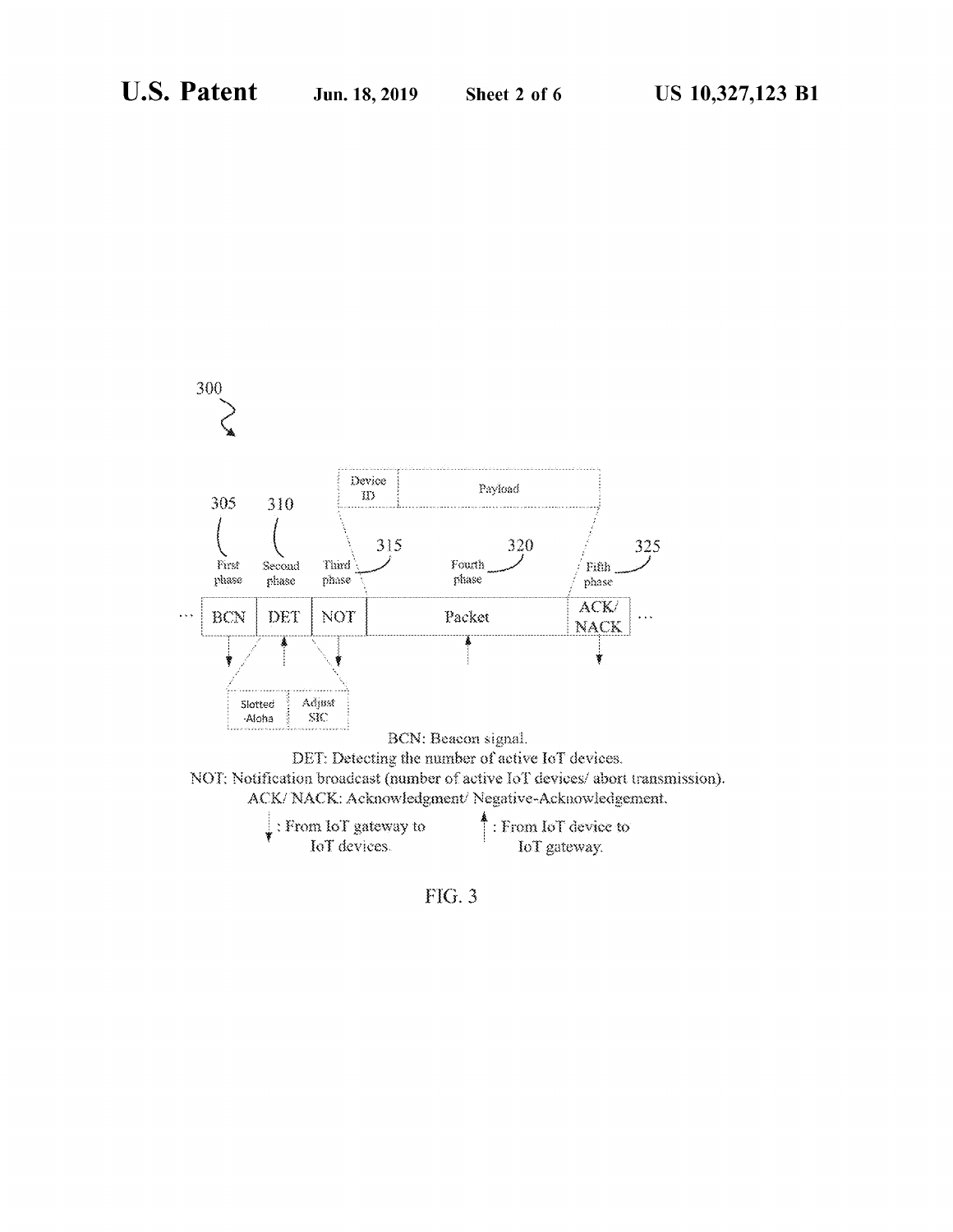



| $\mathbf{l}$ : From IoT gateway to | $\uparrow$ : From IoT device to |
|------------------------------------|---------------------------------|
| IoT devices.                       | IoT gateway.                    |

 $FIG. 3$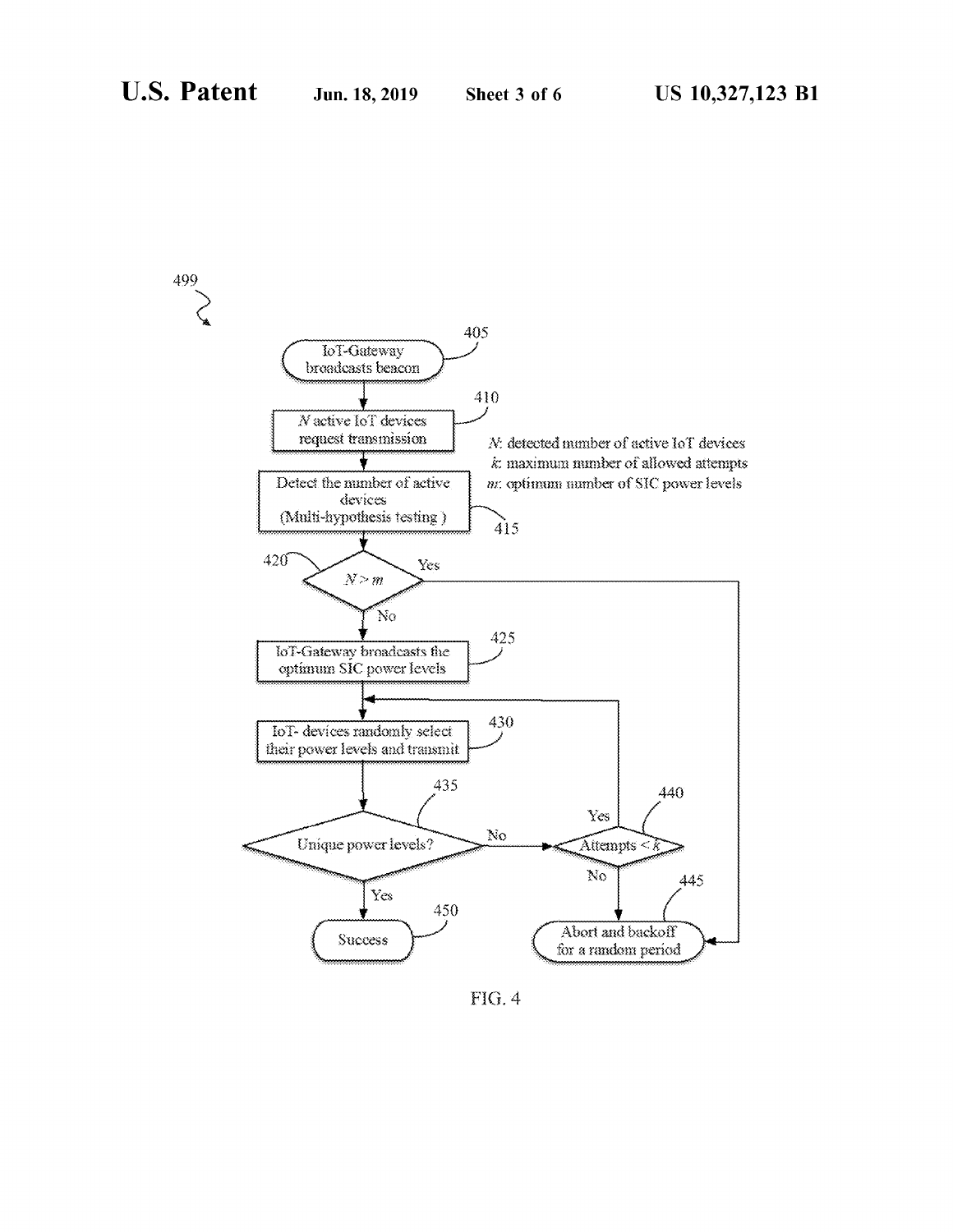

FIG. 4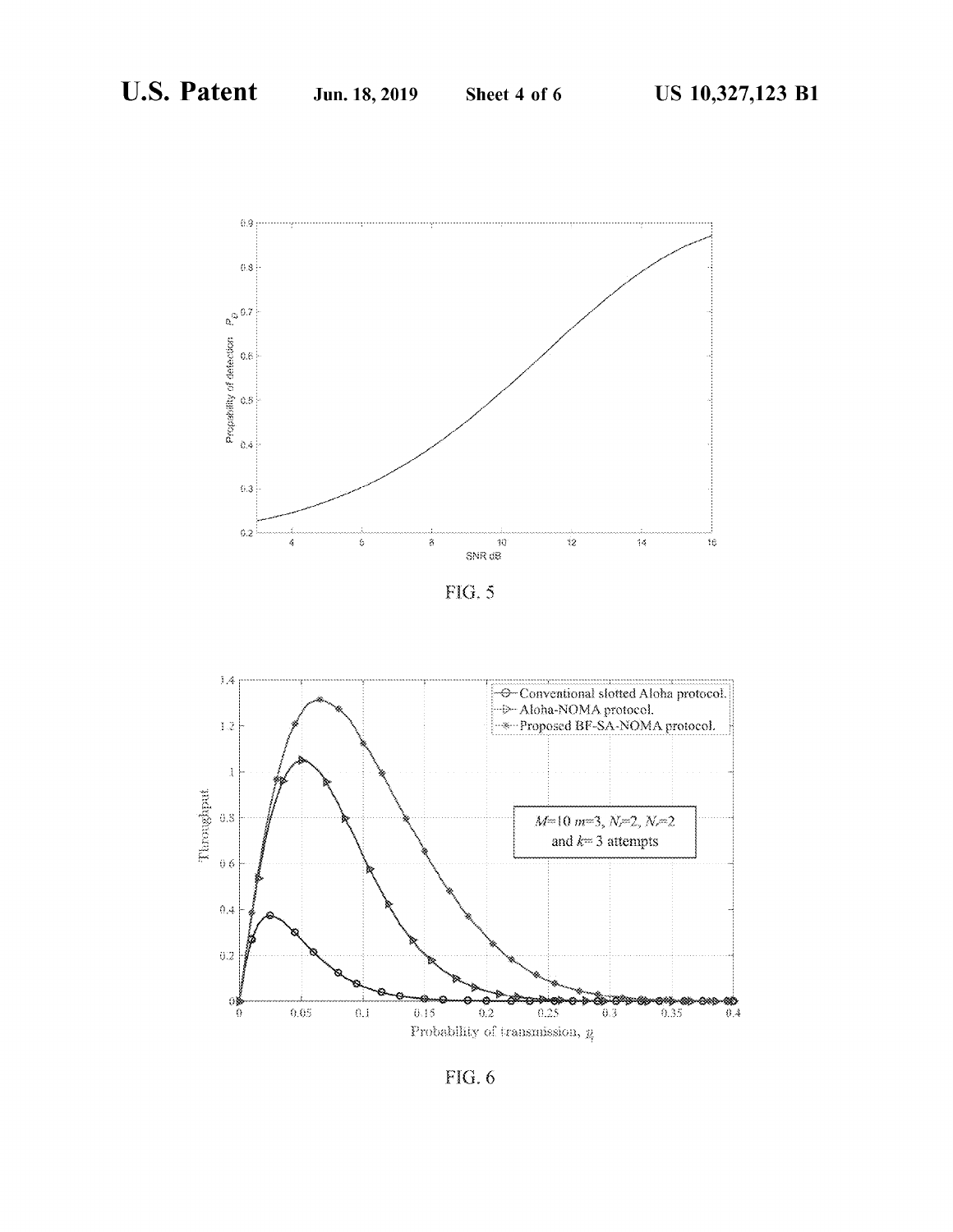

 $FIG. 5$ 



 $FIG. 6$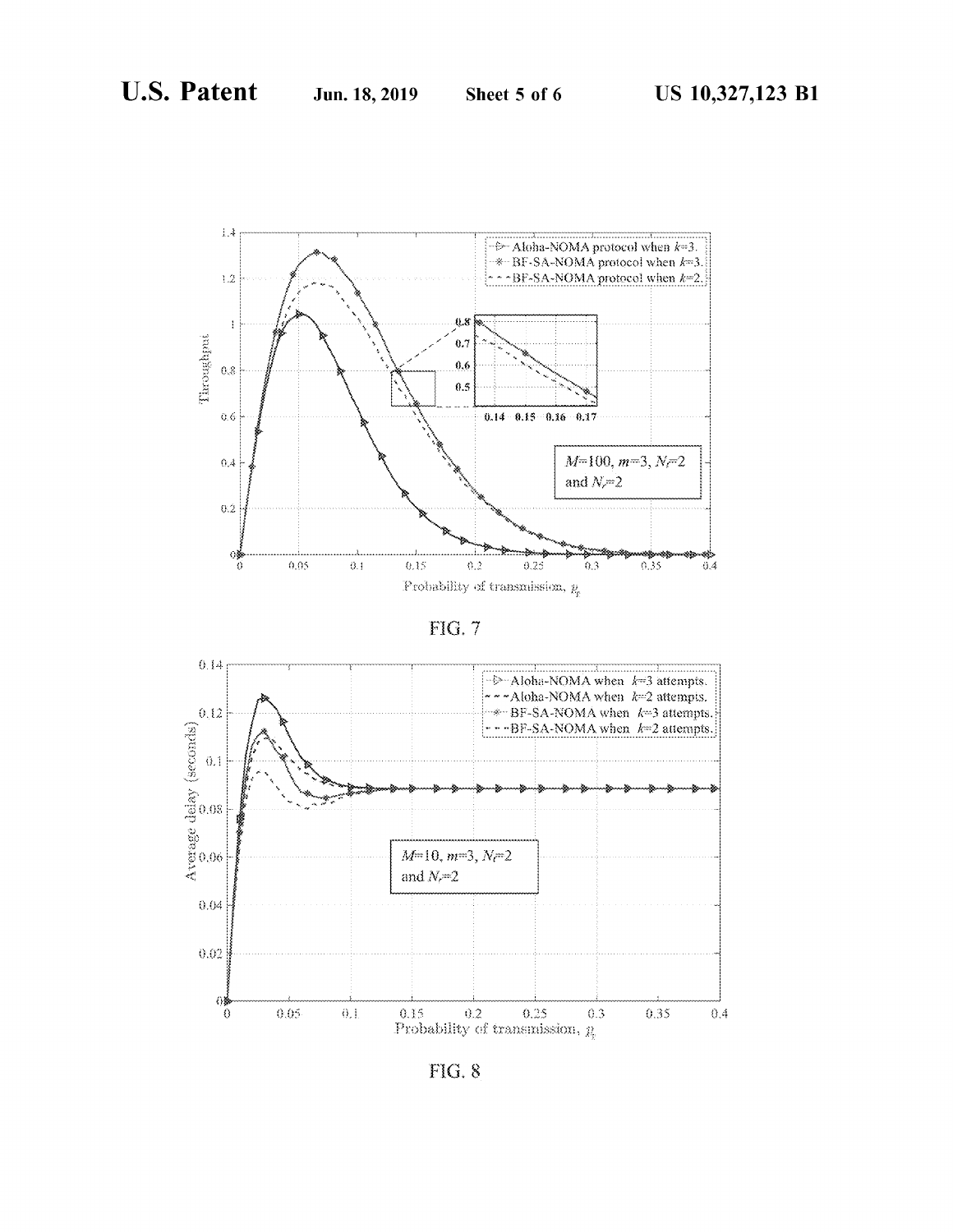

FIG. 7



FIG. 8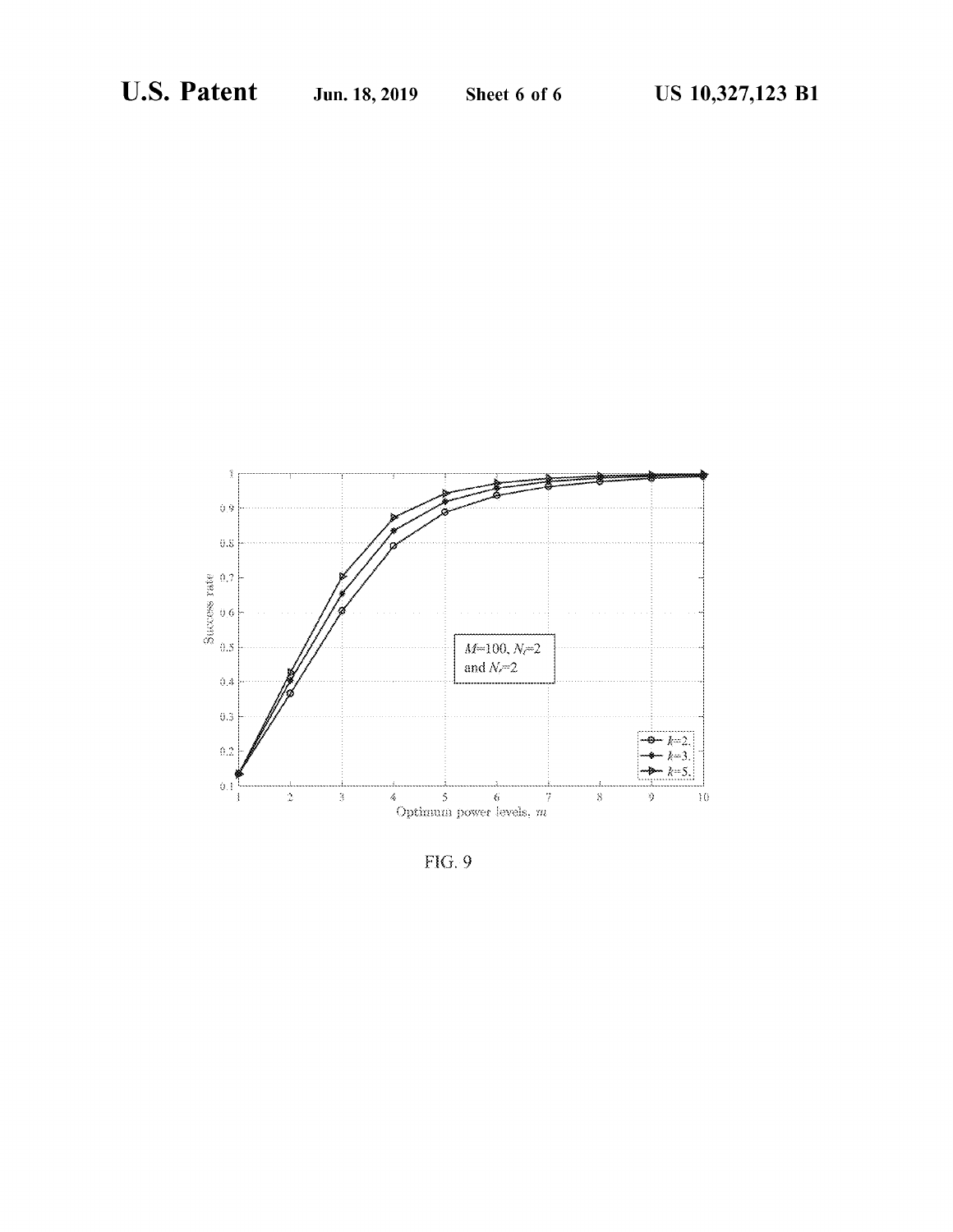

 $FIG. 9$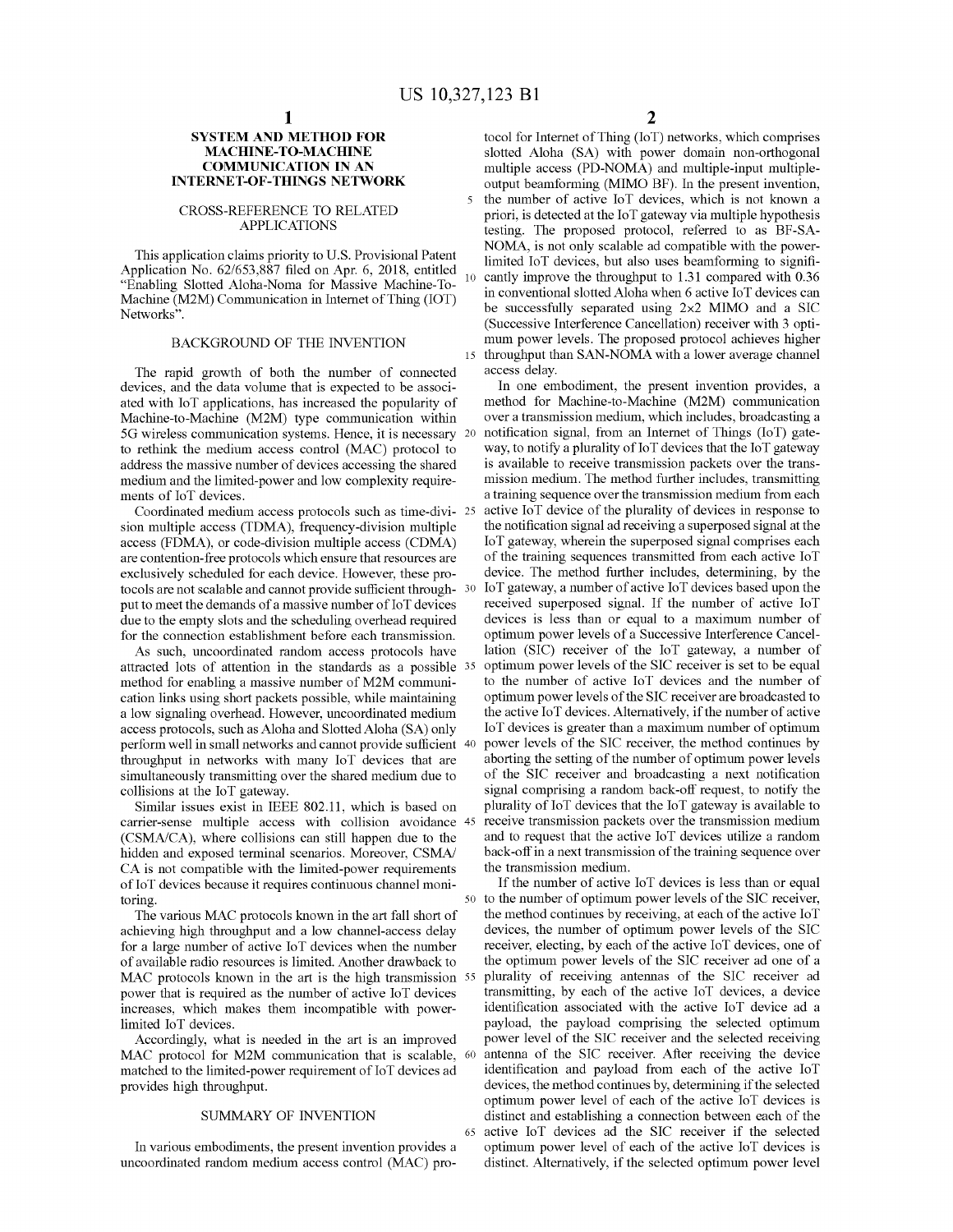5

#### **SYSTEM AND METHOD FOR MACHINE-TO-MACHINE COMMUNICATION IN AN INTERNET-OF-THINGS NETWORK**

#### CROSS-REFERENCE TO RELATED APPLICATIONS

This application claims priority to U.S. Provisional Patent Application No. 62/653,887 filed on Apr. 6, 2018, entitled "Enabling Slotted Aloha-Noma for Massive Machine-To-Machine (M2M) Communication in Internet of Thing (IOT) Networks".

# BACKGROUND OF THE INVENTION

The rapid growth of both the number of connected devices, and the data volume that is expected to be associated with loT applications, has increased the popularity of Machine-to-Machine (M2M) type communication within 5G wireless communication systems. Hence, it is necessary to rethink the medium access control (MAC) protocol to address the massive number of devices accessing the shared medium and the limited-power and low complexity requirements of loT devices.

Coordinated medium access protocols such as time-division multiple access (TDMA), frequency-division multiple access (FDMA), or code-division multiple access (CDMA) are contention-free protocols which ensure that resources are exclusively scheduled for each device. However, these protocols are not scalable and cannot provide sufficient through- 30 put to meet the demands of a massive number of 10T devices due to the empty slots and the scheduling overhead required for the connection establishment before each transmission.

As such, uncoordinated random access protocols have attracted lots of attention in the standards as a possible method for enabling a massive number of M2M communication links using short packets possible, while maintaining a low signaling overhead. However, uncoordinated medium access protocols, such as Aloha and Slotted Aloha (SA) only perform well in small networks and cannot provide sufficient 40 throughput in networks with many loT devices that are simultaneously transmitting over the shared medium due to collisions at the loT gateway.

Similar issues exist in IEEE 802.11, which is based on carrier-sense multiple access with collision avoidance 45 (CSMA/CA), where collisions can still happen due to the hidden and exposed terminal scenarios. Moreover, CSMA/ CA is not compatible with the limited-power requirements ofIoT devices because it requires continuous channel monitoring.

The various MAC protocols known in the art fall short of achieving high throughput and a low channel-access delay for a large number of active loT devices when the number of available radio resources is limited. Another drawback to MAC protocols known in the art is the high transmission 55 power that is required as the number of active loT devices increases, which makes them incompatible with powerlimited loT devices.

Accordingly, what is needed in the art is an improved MAC protocol for M2M communication that is scalable, 60 matched to the limited-power requirement of IoT devices ad provides high throughput.

# SUMMARY OF INVENTION

In various embodiments, the present invention provides a uncoordinated random medium access control (MAC) pro2

tocol for Internet of Thing (IoT) networks, which comprises slotted Aloha (SA) with power domain non-orthogonal multiple access (PD-NOMA) and multiple-input multipleoutput beamforming (MIMO BF). In the present invention, the number of active loT devices, which is not known a priori, is detected at the loT gateway via multiple hypothesis testing. The proposed protocol, referred to as BF-SA-NOMA, is not only scalable ad compatible with the powerlimited loT devices, but also uses beamforming to signifi-10 cantly improve the throughput to 1.31 compared with 0.36 in conventional slotted Aloha when 6 active loT devices can be successfully separated using 2x2 MIMO and a SIC (Successive Interference Cancellation) receiver with 3 optimum power levels. The proposed protocol achieves higher 15 throughput than SAN-NOMA with a lower average channel access delay.

In one embodiment, the present invention provides, a method for Machine-to-Machine (M2M) communication over a transmission medium, which includes, broadcasting a notification signal, from an Internet of Things (IoT) gateway, to notify a plurality of  $I \circ T$  devices that the  $I \circ T$  gateway is available to receive transmission packets over the transmission medium. The method further includes, transmitting a training sequence over the transmission medium from each active IoT device of the plurality of devices in response to the notification signal ad receiving a superposed signal at the loT gateway, wherein the superposed signal comprises each of the training sequences transmitted from each active loT device. The method further includes, determining, by the  $10T$  gateway, a number of active  $10T$  devices based upon the received superposed signal. If the number of active loT devices is less than or equal to a maximum number of optimum power levels of a Successive Interference Cancellation (SIC) receiver of the loT gateway, a number of optimum power levels of the SIC receiver is set to be equal to the number of active loT devices and the number of optimum power levels of the SIC receiver are broadcasted to the active IoT devices. Alternatively, if the number of active loT devices is greater than a maximum number of optimum power levels of the SIC receiver, the method continues by aborting the setting of the number of optimum power levels of the SIC receiver and broadcasting a next notification signal comprising a random back-off request, to notify the plurality of IoT devices that the IoT gateway is available to receive transmission packets over the transmission medium and to request that the active loT devices utilize a random back-off in a next transmission of the training sequence over the transmission medium.

If the number of active IoT devices is less than or equal 50 to the number of optimum power levels of the SIC receiver, the method continues by receiving, at each of the active IoT devices, the number of optimum power levels of the SIC receiver, electing, by each of the active IoT devices, one of the optimum power levels of the SIC receiver ad one of a plurality of receiving antennas of the SIC receiver ad transmitting, by each of the active loT devices, a device identification associated with the active loT device ad a payload, the payload comprising the selected optimum power level of the SIC receiver and the selected receiving antenna of the SIC receiver. After receiving the device identification and payload from each of the active loT devices, the method continues by, determining if the selected optimum power level of each of the active loT devices is distinct and establishing a connection between each of the <sup>65</sup> active loT devices ad the SIC receiver if the selected optimum power level of each of the active loT devices is distinct. Alternatively, if the selected optimum power level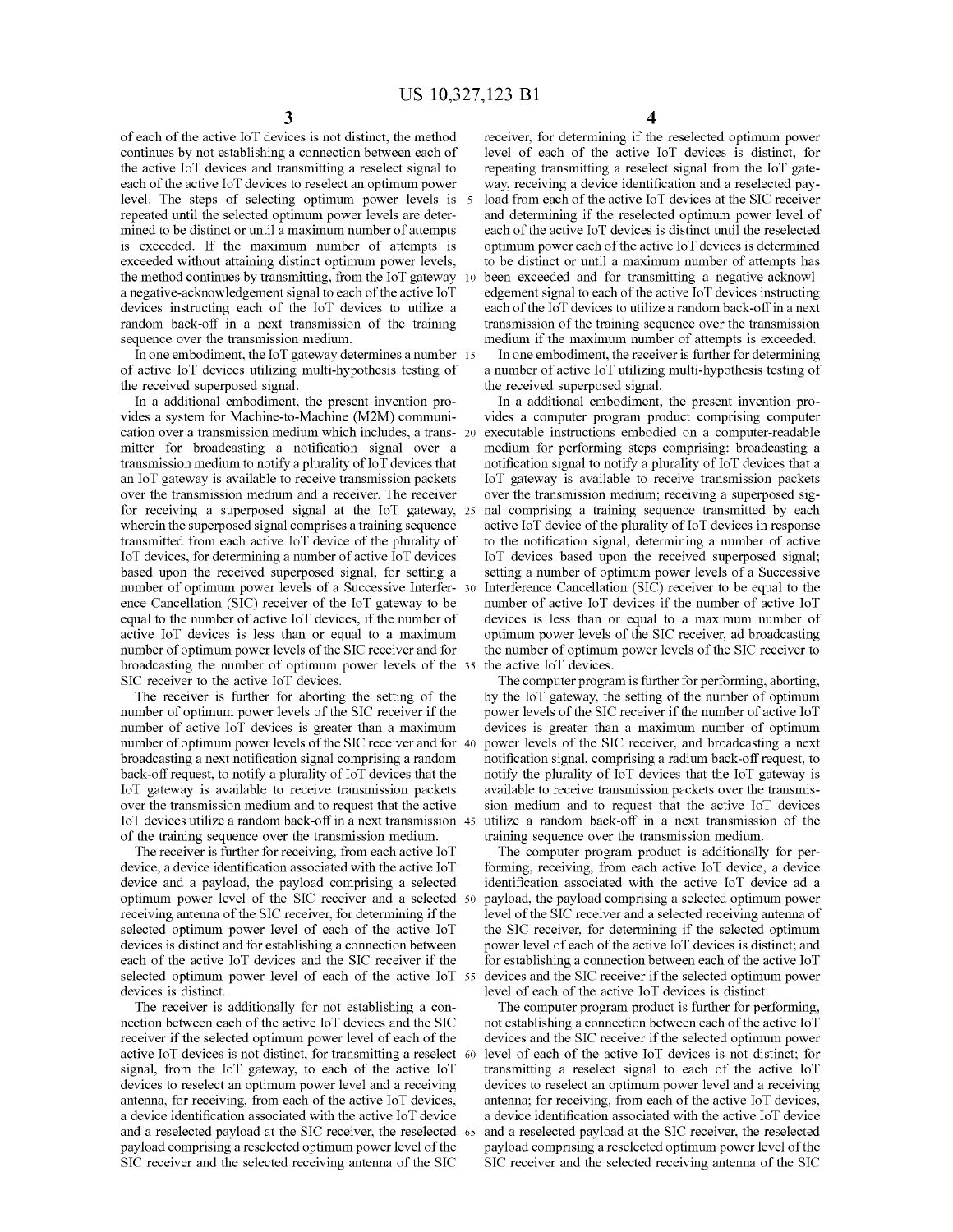of each of the active IoT devices is not distinct, the method continues by not establishing a connection between each of the active loT devices and transmitting a reselect signal to each of the active IoT devices to reselect an optimum power level. The steps of selecting optimum power levels is repeated until the selected optimum power levels are determined to be distinct or until a maximum number of attempts is exceeded. If the maximum number of attempts is exceeded without attaining distinct optimum power levels, the method continues by transmitting, from the loT gateway a negative-acknowledgement signal to each of the active IoT devices instructing each of the loT devices to utilize a random back-off in a next transmission of the training sequence over the transmission medium.

In one embodiment, the loT gateway determines a number 15 of active loT devices utilizing multi-hypothesis testing of the received superposed signal.

In a additional embodiment, the present invention provides a system for Machine-to-Machine (M2M) communication over a transmission medium which includes, a transmitter for broadcasting a notification signal over a transmission medium to notify a plurality of 10T devices that an loT gateway is available to receive transmission packets over the transmission medium and a receiver. The receiver for receiving a superposed signal at the loT gateway, wherein the superposed signal comprises a training sequence transmitted from each active loT device of the plurality of loT devices, for determining a number of active loT devices based upon the received superposed signal, for setting a number of optimum power levels of a Successive Interfer-30 ence Cancellation (SIC) receiver of the loT gateway to be equal to the number of active loT devices, if the number of active loT devices is less than or equal to a maximum number of optimum power levels of the SIC receiver and for broadcasting the number of optimum power levels of the SIC receiver to the active loT devices.

The receiver is further for aborting the setting of the number of optimum power levels of the SIC receiver if the number of active loT devices is greater than a maximum number of optimum power levels of the SIC receiver and for 40 broadcasting a next notification signal comprising a random back-off request, to notify a plurality of IoT devices that the loT gateway is available to receive transmission packets over the transmission medium and to request that the active loT devices utilize a random back-off in a next transmission of the training sequence over the transmission medium.

The receiver is further for receiving, from each active loT device, a device identification associated with the active loT device and a payload, the payload comprising a selected optimum power level of the SIC receiver and a selected receiving antenna of the SIC receiver, for determining if the selected optimum power level of each of the active loT devices is distinct and for establishing a connection between each of the active loT devices and the SIC receiver if the selected optimum power level of each of the active IoT 55 devices is distinct.

The receiver is additionally for not establishing a connection between each of the active IoT devices and the SIC receiver if the selected optimum power level of each of the active loT devices is not distinct, for transmitting a reselect signal, from the loT gateway, to each of the active loT devices to reselect an optimum power level and a receiving antenna, for receiving, from each of the active loT devices, a device identification associated with the active loT device and a reselected payload at the SIC receiver, the reselected payload comprising a reselected optimum power level of the SIC receiver and the selected receiving antenna of the SIC

receiver, for determining if the reselected optimum power level of each of the active loT devices is distinct, for repeating transmitting a reselect signal from the loT gateway, receiving a device identification and a reselected payload from each of the active IoT devices at the SIC receiver and determining if the reselected optimum power level of each of the active IoT devices is distinct until the reselected optimum power each of the active IoT devices is determined to be distinct or until a maximum number of attempts has been exceeded and for transmitting a negative-acknowledgement signal to each of the active  $I \circ T$  devices instructing each of the IoT devices to utilize a random back-off in a next transmission of the training sequence over the transmission medium if the maximum number of attempts is exceeded.

In one embodiment, the receiver is further for determining a number of active loT utilizing multi-hypothesis testing of the received superposed signal.

In a additional embodiment, the present invention provides a computer program product comprising computer executable instructions embodied on a computer-readable medium for performing steps comprising: broadcasting a notification signal to notify a plurality of IoT devices that a loT gateway is available to receive transmission packets over the transmission medium; receiving a superposed signal comprising a training sequence transmitted by each active IoT device of the plurality of IoT devices in response to the notification signal; determining a number of active loT devices based upon the received superposed signal; setting a number of optimum power levels of a Successive Interference Cancellation (SIC) receiver to be equal to the number of active loT devices if the number of active loT devices is less than or equal to a maximum number of optimum power levels of the SIC receiver, ad broadcasting the number of optimum power levels of the SIC receiver to the active IoT devices.

The computer program is further for performing, aborting, by the loT gateway, the setting of the number of optimum power levels of the SIC receiver if the number of active IoT devices is greater than a maximum number of optimum power levels of the SIC receiver, and broadcasting a next notification signal, comprising a radium back-offrequest, to notify the plurality of loT devices that the loT gateway is available to receive transmission packets over the transmission medium and to request that the active loT devices utilize a random back-off in a next transmission of the training sequence over the transmission medium.

The computer program product is additionally for performing, receiving, from each active loT device, a device identification associated with the active loT device ad a payload, the payload comprising a selected optimum power level of the SIC receiver and a selected receiving antenna of the SIC receiver, for determining if the selected optimum power level of each of the active IoT devices is distinct; and for establishing a connection between each of the active  $I \circ T$ devices and the SIC receiver if the selected optimum power level of each of the active loT devices is distinct.

The computer program product is further for performing, not establishing a connection between each of the active  $I \circ T$ devices and the SIC receiver if the selected optimum power level of each of the active IoT devices is not distinct; for transmitting a reselect signal to each of the active loT devices to reselect an optimum power level and a receiving antenna; for receiving, from each of the active IoT devices, a device identification associated with the active loT device and a reselected payload at the SIC receiver, the reselected payload comprising a reselected optimum power level of the SIC receiver and the selected receiving antenna of the SIC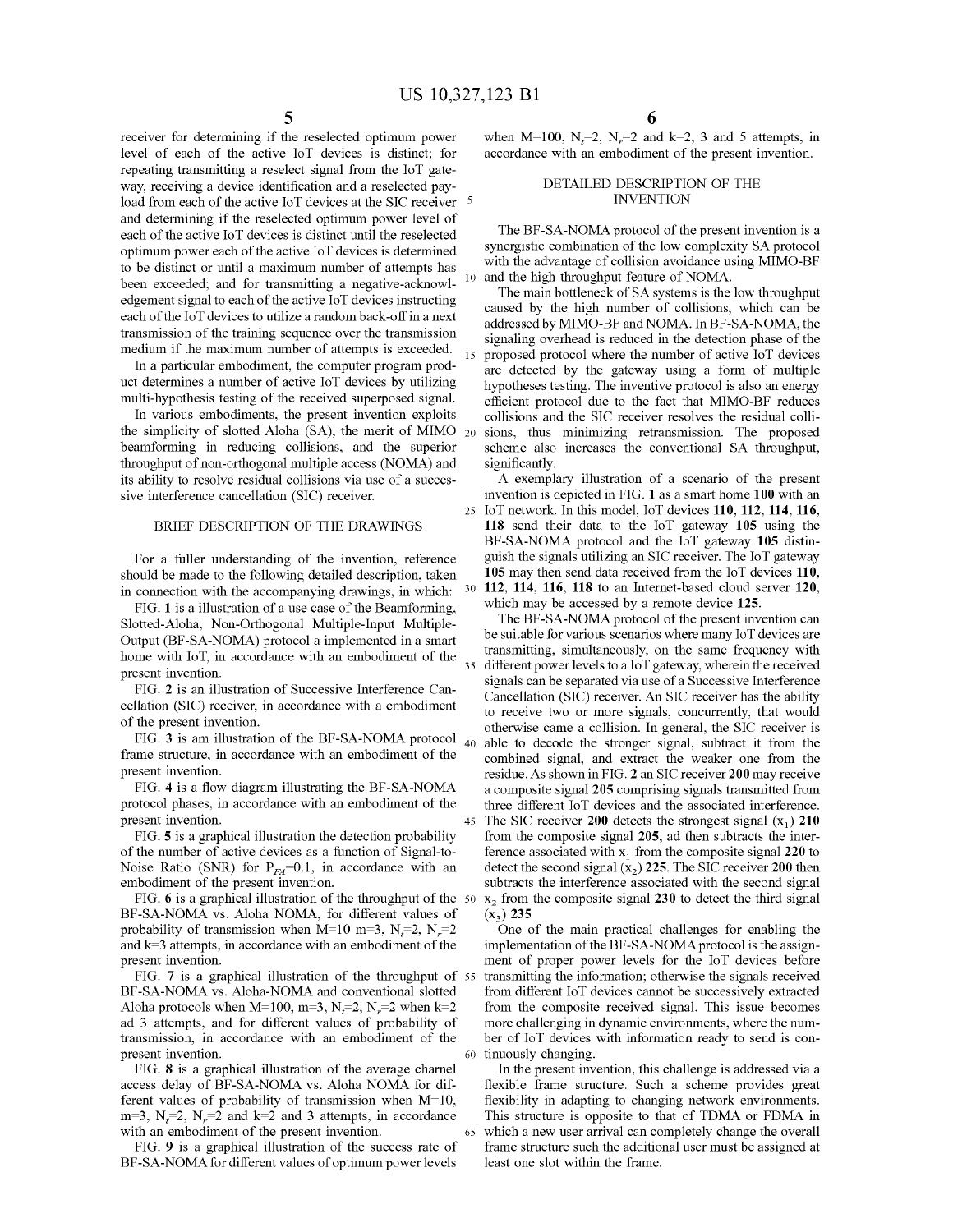receiver for detennining if the reselected optimum power level of each of the active loT devices is distinct; for repeating transmitting a reselect signal from the loT gateway, receiving a device identification and a reselected payload from each of the active IoT devices at the SIC receiver <sup>5</sup> and detennining if the reselected optimum power level of each of the active loT devices is distinct until the reselected optimum power each of the active  $I \circ T$  devices is determined to be distinct or until a maximum number of attempts has been exceeded; and for transmitting a negative-acknowledgement signal to each of the active  $I \circ T$  devices instructing each of the IoT devices to utilize a random back-off in a next transmission of the training sequence over the transmission medium if the maximum number of attempts is exceeded.

In a particular embodiment, the computer program product determines a number of active loT devices by utilizing multi-hypothesis testing of the received superposed signal.

In various embodiments, the present invention exploits the simplicity of slotted Aloha (SA), the merit of MIMO  $_{20}$ beamforming in reducing collisions, and the superior throughput of non-orthogonal multiple access (NOMA) and its ability to resolve residual collisions via use of a successive interference cancellation (SIC) receiver.

#### BRIEF DESCRIPTION OF THE DRAWINGS

For a fuller understanding of the invention, reference should be made to the following detailed description, taken in connection with the accompanying drawings, in which:

FIG. 1 is a illustration of a use case of the Beamforming, Slotted-Aloha, Non-Orthogonal Multiple-Input Multiple-Output (BF-SA-NOMA) protocol a implemented in a smart home with loT, in accordance with an embodiment of the present invention.

FIG. 2 is an illustration of Successive Interference Cancellation (SIC) receiver, in accordance with a embodiment of the present invention.

FIG. 3 is am illustration of the BF-SA-NOMA protocol  $_{40}$ frame structure, in accordance with an embodiment of the present invention.

FIG. 4 is a flow diagram illustrating the BF-SA-NOMA protocol phases, in accordance with an embodiment of the present invention.

FIG. 5 is a graphical illustration the detection probability of the number of active devices as a function of Signal-to-Noise Ratio (SNR) for  $P_{FA}=0.1$ , in accordance with an embodiment of the present invention.

FIG. 6 is a graphical illustration of the throughput of the 50 BF-SA-NOMA vs. Aloha NOMA, for different values of probability of transmission when  $M=10$  m=3,  $N_f=2$ ,  $N_r=2$ and  $k=3$  attempts, in accordance with an embodiment of the present invention.

FIG. 7 is a graphical illustration of the throughput of 55 BF-SA-NOMA vs. Aloha-NOMA and conventional slotted Aloha protocols when M=100, m=3,  $N_f$ =2,  $N_r$ =2 when k=2 ad 3 attempts, and for different values of probability of transmission, in accordance with an embodiment of the present invention.

FIG. 8 is a graphical illustration of the average charnel access delay of BF-SA-NOMA vs. Aloha NOMA for different values of probability of transmission when  $M=10$ ,  $m=3$ ,  $N<sub>r</sub>=2$ ,  $N<sub>r</sub>=2$  and  $k=2$  and 3 attempts, in accordance with an embodiment of the present invention.

FIG. 9 is a graphical illustration of the success rate of BF-SA-NOMA for different values of optimum power levels

when  $M=100$ ,  $N_f=2$ ,  $N_f=2$  and  $k=2$ , 3 and 5 attempts, in accordance with an embodiment of the present invention.

#### DETAILED DESCRIPTION OF THE INVENTION

The BF-SA-NOMA protocol of the present invention is a synergistic combination of the low complexity SA protocol with the advantage of collision avoidance using MIMO-BF and the high throughput feature of NOMA.

The main bottleneck of SA systems is the low throughput caused by the high number of collisions, which can be addressed by MIMO-BF and NOMA. In BF-SA-NOMA, the signaling overhead is reduced in the detection phase of the proposed protocol where the number of active IoT devices are detected by the gateway using a fonn of multiple hypotheses testing. The inventive protocol is also an energy efficient protocol due to the fact that MIMO-BF reduces collisions and the SIC receiver resolves the residual collisions, thus minimizing retransmission. The proposed scheme also increases the conventional SA throughput, significantly.

A exemplary illustration of a scenario of the present invention is depicted in FIG. 1 as a smart home **100** with an 25 loT network. In this model, loT devices **110, 112, 114, 116, 118** send their data to the loT gateway **105** using the BF-SA-NOMA protocol and the loT gateway **105** distinguish the signals utilizing an SIC receiver. The loT gateway **105** may then send data received from the loT devices **110,** 30 **112, 114, 116, 118** to an Internet-based cloud server **120,** which may be accessed by a remote device **125.**

The BF-SA-NOMA protocol of the present invention can be suitable for various scenarios where many 10T devices are transmitting, simultaneously, on the same frequency with 35 different power levels to a loT gateway, wherein the received signals can be separated via use of a Successive Interference Cancellation (SIC) receiver. An SIC receiver has the ability to receive two or more signals, concurrently, that would otherwise came a collision. In general, the SIC receiver is able to decode the stronger signal, subtract it from the combined signal, and extract the weaker one from the residue. As shown in FIG. 2 an SIC receiver **200** may receive a composite signal **205** comprising signals transmitted from three different loT devices and the associated interference. 45 The SIC receiver 200 detects the strongest signal  $(x_1)$  210 from the composite signal **205,** ad then subtracts the interference associated with  $x_1$  from the composite signal  $220$  to detect the second signal  $(x_2)$  225. The SIC receiver 200 then subtracts the interference associated with the second signal  $x<sub>2</sub>$  from the composite signal 230 to detect the third signal  $(x_3)$  235

One of the main practical challenges for enabling the implementation of the BF-SA-NOMA protocol is the assignment of proper power levels for the loT devices before transmitting the information; otherwise the signals received from different loT devices carmot be successively extracted from the composite received signal. This issue becomes more challenging in dynamic environments, where the number of loT devices with information ready to send is con-60 tinuously changing.

In the present invention, this challenge is addressed via a flexible frame structure. Such a scheme provides great flexibility in adapting to changing network environments. This structure is opposite to that of TDMA or FDMA in 65 which a new user arrival can completely change the overall frame structure such the additional user must be assigned at least one slot within the frame.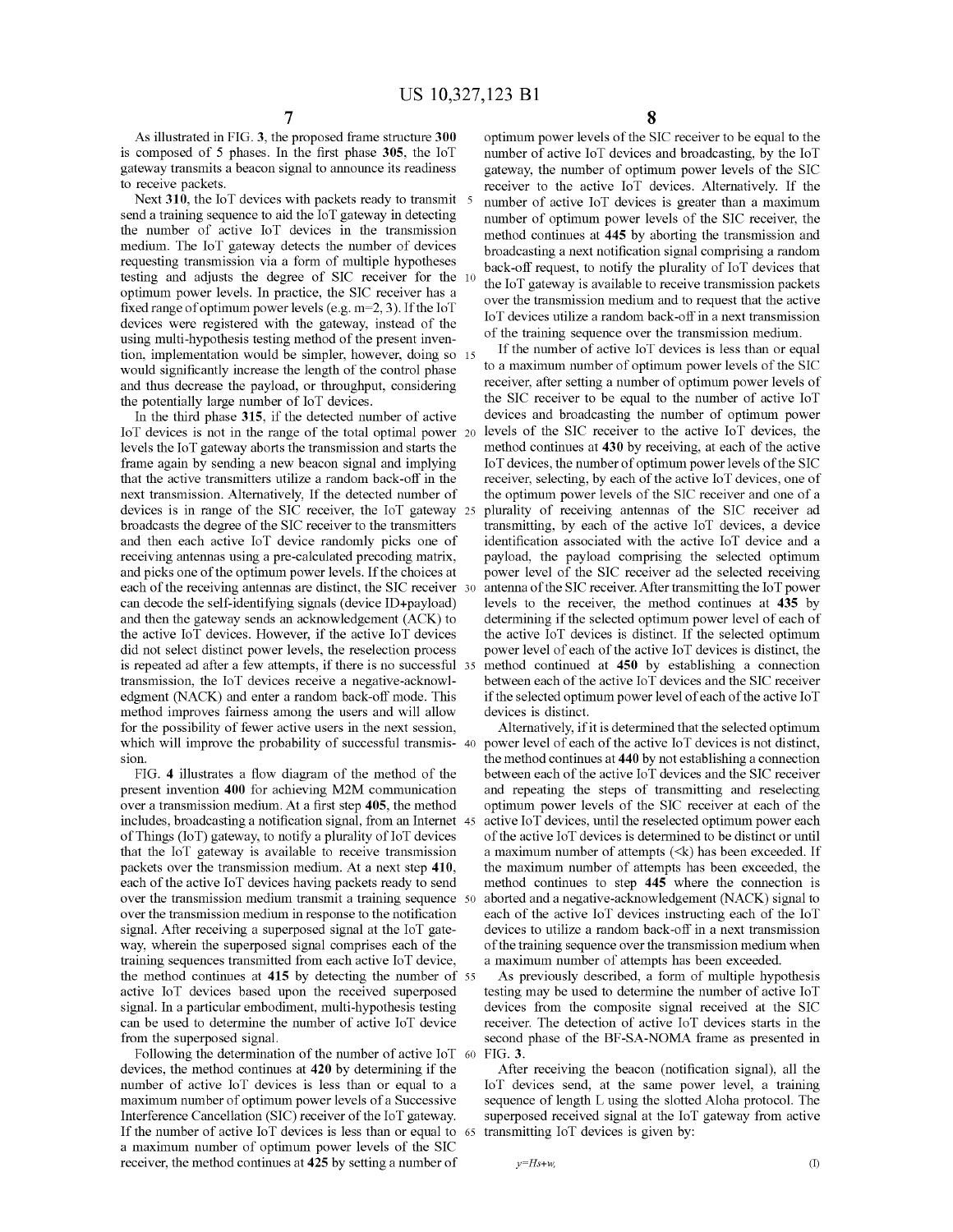As illustrated in FIG. 3, the proposed frame structure **300** is composed of 5 phases. In the first phase **305,** the loT gateway transmits a beacon signal to annonnce its readiness to receive packets.

Next 310, the IoT devices with packets ready to transmit 5 send a training sequence to aid the loT gateway in detecting the number of active loT devices in the transmission medium. The loT gateway detects the number of devices requesting transmission via a form of multiple hypotheses testing and adjusts the degree of SIC receiver for the optimum power levels. In practice, the SIC receiver has a fixed range of optimum power levels (e.g.  $m=2, 3$ ). If the loT devices were registered with the gateway, instead of the using multi-hypothesis testing method of the present invention, implementation would be simpler, however, doing so 15 would significantly increase the length of the control phase and thus decrease the payload, or throughput, considering the potentially large number of IoT devices.

In the third phase **315,** if the detected number of active IoT devices is not in the range of the total optimal power 20 levels the loT gateway aborts the transmission and starts the frame again by sending a new beacon signal and implying that the active transmitters utilize a random back-off in the next transmission. Alternatively, If the detected number of devices is in range of the SIC receiver, the loT gateway broadcasts the degree of the SIC receiver to the transmitters and then each active loT device randomly picks one of receiving antennas using a pre-calculated precoding matrix, and picks one of the optimum power levels. If the choices at each of the receiving antennas are distinct, the SIC receiver 30 can decode the self-identifying signals (device ID+payload) and then the gateway sends an acknowledgement (ACK) to the active loT devices. However, if the active loT devices did not select distinct power levels, the reselection process is repeated ad after a few attempts, if there is no successful transmission, the loT devices receive a negative-acknowledgment (NACK) and enter a random back-off mode. This method improves fairness among the users and will allow for the possibility of fewer active users in the next session, which will improve the probability of successful transmis- 40 sion.

FIG. 4 illustrates a flow diagram of the method of the present invention **400** for achieving M2M communication over a transmission medium. At a first step **405,** the method includes, broadcasting a notification signal, from an Internet of Things (IoT) gateway, to notify a plurality of IoT devices that the loT gateway is available to receive transmission packets over the transmission medium. At a next step **410,** each of the active IoT devices having packets ready to send over the transmission medium transmit a training sequence 50 over the transmission medium in response to the notification signal. After receiving a superposed signal at the loT gateway, wherein the superposed signal comprises each of the training sequences transmitted from each active loT device, the method continues at **415** by detecting the number of <sup>55</sup> active loT devices based upon the received superposed signal. In a particular embodiment, multi-hypothesis testing can be used to determine the number of active loT device from the superposed signal.

Following the determination of the number of active IoT  $\omega$ devices, the method continues at **420** by determining if the number of active loT devices is less than or equal to a maximum number of optimum power levels of a Successive Interference Cancellation (SIC) receiver of the IoT gateway. If the number of active IoT devices is less than or equal to  $65$ a maximum number of optimum power levels of the SIC receiver, the method continues at **425** by setting a number of

optimum power levels of the SIC receiver to be equal to the number of active loT devices and broadcasting, by the loT gateway, the number of optimum power levels of the SIC receiver to the active loT devices. Alternatively. If the number of active loT devices is greater than a maximum number of optimum power levels of the SIC receiver, the method continues at **445** by aborting the transmission and broadcasting a next notification signal comprising a random back-off request, to notify the plurality of IoT devices that the IoT gateway is available to receive transmission packets over the transmission medium and to request that the active loT devices utilize a random back-off in a next transmission of the training sequence over the transmission medium.

If the number of active IoT devices is less than or equal to a maximum number of optimum power levels of the SIC receiver, after setting a number of optimum power levels of the SIC receiver to be equal to the number of active loT devices and broadcasting the number of optimum power levels of the SIC receiver to the active IoT devices, the method continues at **430** by receiving, at each of the active 10T devices, the number of optimum power levels ofthe SIC receiver, selecting, by each of the active IoT devices, one of the optimum power levels of the SIC receiver and one of a <sup>25</sup> plurality of receiving antennas of the SIC receiver ad transmitting, by each of the active loT devices, a device identification associated with the active loT device and a payload, the payload comprising the selected optimum power level of the SIC receiver ad the selected receiving antenna of the SIC receiver. After transmitting the IoT power levels to the receiver, the method continues at **435** by determining if the selected optimum power level of each of the active loT devices is distinct. If the selected optimum power level of each of the active IoT devices is distinct, the method continued at 450 by establishing a connection between each of the active IoT devices and the SIC receiver if the selected optimum power level of each of the active IoT devices is distinct.

Alternatively, if it is determined that the selected optimum power level of each of the active IoT devices is not distinct, the method continues at **440** by not establishing a connection between each of the active IoT devices and the SIC receiver and repeating the steps of transmitting and reselecting optimum power levels of the SIC receiver at each of the active IoT devices, until the reselected optimum power each of the active IoT devices is determined to be distinct or until a maximum number of attempts  $(\leq k)$  has been exceeded. If the maximum number of attempts has been exceeded, the method continues to step **445** where the connection is aborted and a negative-acknowledgement (NACK) signal to each of the active loT devices instructing each of the loT devices to utilize a random back-off in a next transmission of the training sequence over the transmission medium when a maximum number of attempts has been exceeded.

As previously described, a form of multiple hypothesis testing may be used to determine the number of active loT devices from the composite signal received at the SIC receiver. The detection of active loT devices starts in the second phase of the BF-SA-NOMA frame as presented in FIG. 3.

After receiving the beacon (notification signal), all the loT devices send, at the same power level, a training sequence of length L using the slotted Aloha protocol. The superposed received signal at the loT gateway from active transmitting IoT devices is given by:

 $v=Hs+w$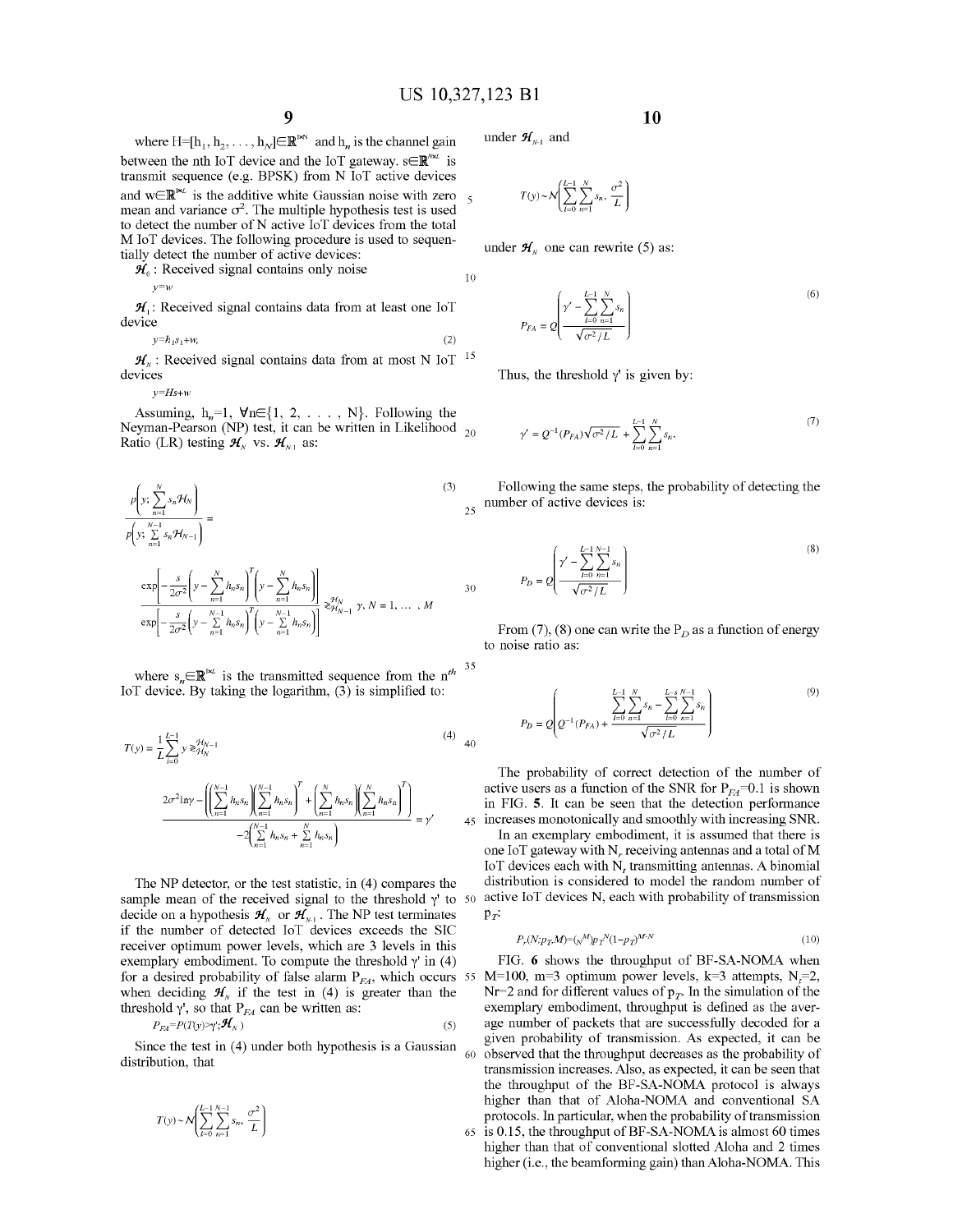$\overline{5}$ 

25

30

*Pr:*

where  $H=[h_1, h_2, \ldots, h_N] \in \mathbb{R}^N$  and  $h_n$  is the channel gain between the nth IoT device and the IoT gateway.  $s \in \mathbb{R}^{\mathbb{N} \times \mathbb{L}}$  is transmit sequence (e.g. BPSK) from N loT active devices and  $w \in \mathbb{R}^{|x_L|}$  is the additive white Gaussian noise with zero mean and variance  $\sigma^2$ . The multiple hypothesis test is used to detect the number of N active IoT devices from the total M loT devices. The following procedure is used to sequentially detect the number of active devices:

 $\mathcal{H}_0$ : Received signal contains only noise  $v = w$ 10

 $H<sub>1</sub>$ : Received signal contains data from at least one IoT device

$$
y=h_1s_1+w,\tag{2}
$$

 $\mathcal{H}_N$ : Received signal contains data from at most N IoT <sup>15</sup> devices

 $v=Hs+u$ 

Assuming,  $h_n=1$ ,  $\forall n \in \{1, 2, \ldots, N\}$ . Following the Neyman-Pearson (NP) test, it can be written in Likelihood  $_{20}$ Ratio (LR) testing  $\mathcal{H}_{N}$  vs.  $\mathcal{H}_{N-1}$  as:

$$
\frac{p\left(y; \sum_{n=1}^{N} s_n \mathcal{H}_N\right)}{p\left(y; \sum_{n=1}^{N-1} s_n \mathcal{H}_{N-1}\right)} = \frac{\exp\left[-\frac{s}{2\sigma^2} \left(y - \sum_{n=1}^{N} h_n s_n\right)^T \left(y - \sum_{n=1}^{N} h_n s_n\right)\right]}{\exp\left[-\frac{s}{2\sigma^2} \left(y - \sum_{n=1}^{N-1} h_n s_n\right)^T \left(y - \sum_{n=1}^{N-1} h_n s_n\right)\right]} \geq \mathcal{H}_{N-1}^N \gamma, N = 1, ..., M
$$
\n(3)

35 where  $s_n \in \mathbb{R}^{k \times L}$  is the transmitted sequence from the *n<sup>th</sup>* IoT device. By taking the logarithm,  $(3)$  is simplified to:

$$
T(y) = \frac{1}{L} \sum_{i=0}^{L-1} y \ge \frac{\mathcal{H}_{N-1}}{\mathcal{H}_{N}} \tag{4}
$$
  

$$
\frac{2\sigma^2 \ln y - \left( \left( \sum_{n=1}^{N-1} h_n s_n \right) \left( \sum_{n=1}^{N-1} h_n s_n \right)^T + \left( \sum_{n=1}^{N} h_n s_n \right) \left( \sum_{n=1}^{N} h_n s_n \right)^T \right)}{-2 \left( \sum_{n=1}^{N-1} h_n s_n + \sum_{n=1}^{N} h_n s_n \right)} = \gamma' \tag{4}
$$

for a desired probability of false alarm  $P_{FA}$ , which occurs 55 M=100, m=3 optimum power levels, k=3 attempts, N<sub>t</sub>=2, The NP detector, or the test statistic, in (4) compares the sample mean of the received signal to the threshold  $\gamma'$  to 50 decide on a hypothesis  $\mathcal{H}_{N}$  or  $\mathcal{H}_{N-1}$ . The NP test terminates if the number of detected loT devices exceeds the SIC receiver optimum power levels, which are 3 levels in this exemplary embodiment. To compute the threshold  $\gamma'$  in (4) when deciding  $\mathcal{H}_{N}$  if the test in (4) is greater than the threshold  $\gamma'$ , so that  $P_{FA}$  can be written as:

$$
P_{FA} = P(T(y) \ge \gamma'; \mathcal{H}_N) \tag{5}
$$

Since the test in  $(4)$  under both hypothesis is a Gaussian distribution, that

$$
T(y) \sim \mathcal{N}\left(\sum_{l=0}^{L-1} \sum_{n=1}^{N-1} s_n, \frac{\sigma^2}{L}\right)
$$

under  $\mathcal{H}_{N-1}$  and

$$
T(y) \sim \mathcal{N}\left(\sum_{l=0}^{L-1} \sum_{n=1}^{N} s_n, \frac{\sigma^2}{L}\right)
$$

under  $\mathcal{H}_N$  one can rewrite (5) as:

(6) 
$$
P_{FA} = Q \left( \frac{\gamma' - \sum_{l=0}^{L-1} \sum_{n=1}^{N} s_n}{\sqrt{\sigma^2 / L}} \right)
$$

Thus, the threshold  $\gamma'$  is given by:

$$
\gamma' = Q^{-1}(P_{FA})\sqrt{\sigma^2/L} + \sum_{l=0}^{L-1} \sum_{n=1}^{N} s_n.
$$
 (7)

Following the same steps, the probability of detecting the number of active devices is:

$$
P_D = Q \left( \frac{\gamma' - \sum_{l=0}^{L-1} \sum_{n=1}^{N-1} s_n}{\sqrt{\sigma^2 / L}} \right)
$$
\n
$$
(8)
$$

From (7), (8) one can write the  $P_D$  as a function of energy to noise ratio as:

$$
P_D = Q \left(Q^{-1}(P_{FA}) + \frac{\sum\limits_{l=0}^{L-1}\sum\limits_{n=1}^{N}s_n - \sum\limits_{l=0}^{L-s}\sum\limits_{n=1}^{N-1}s_n}{\sqrt{\sigma^2/L}}\right) \tag{9}
$$

The probability of correct detection of the number of active users as a function of the SNR for  $P_{FA}=0.1$  is shown in FIG. 5. It can be seen that the detection performance 45 increases monotonically and smoothly with increasing SNR. In an exemplary embodiment, it is assumed that there is one IoT gateway with  $N_r$  receiving antennas and a total of M IoT devices each with  $N_t$  transmitting antennas. A binomial distribution is considered to model the random number of active IoT devices N, each with probability of transmission

$$
P_r(N; p_T, M) = (_N^M) p_T^N (1 - p_T)^{M - N}
$$
\n(10)

FIG. 6 shows the throughput of BF-SA-NOMA when Nr=2 and for different values of  $p_T$ . In the simulation of the exemplary embodiment, throughput is defined as the average number of packets that are successfully decoded for a given probability of transmission. As expected, it can be observed that the throughput decreases as the probability of transmission increases. Also, as expected, it can be seen that the throughput of the BF-SA-NOMA protocol is always higher than that of Aloha-NOMA and conventional SA protocols. In particular, when the probability of transmission 65 is 0.15, the throughput ofBF-SA-NOMAis almost 60 times higher than that of conventional slotted Aloha and 2 times higher (i.e., the beamforming gain) than Aloha-NOMA. This

9 **10**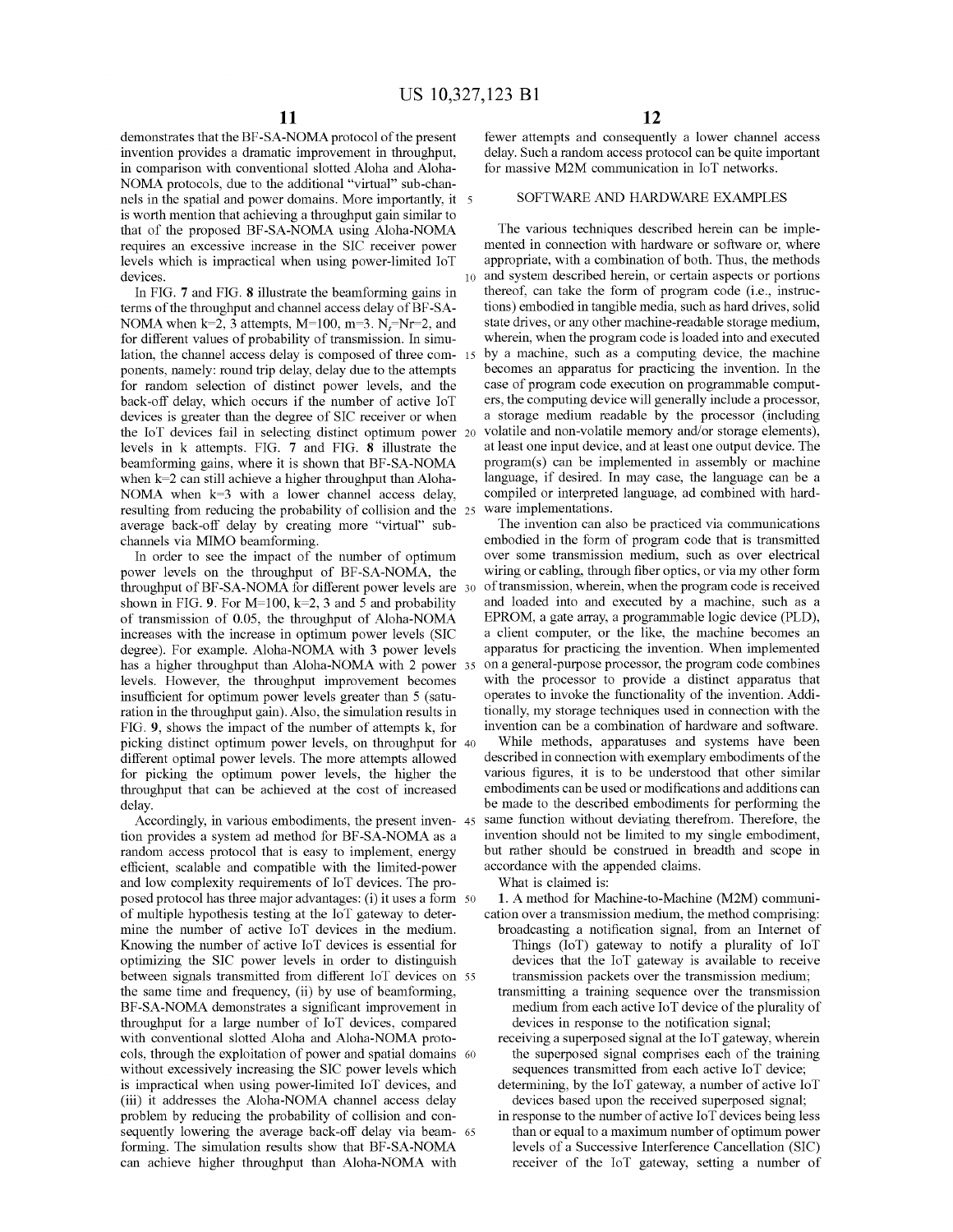demonstrates that the BF-SA-NOMA protocol of the present invention provides a dramatic improvement in throughput, in comparison with conventional slotted Aloha and Aloha-NOMA protocols, due to the additional "virtual" sub-channels in the spatial and power domains. More importantly, it is worth mention that achieving a throughput gain similar to that of the proposed BF-SA-NOMA using Aloha-NOMA requires an excessive increase in the SIC receiver power levels which is impractical when using power-limited loT devices.

In FIG. 7 and FIG. 8 illustrate the beamforming gains in terms of the throughput and channel access delay of BF-SA-NOMA when  $k=2$ , 3 attempts, M=100, m=3.  $N_f=Nr=2$ , and for different values of probability of transmission. In simulation, the channel access delay is composed of three com- <sup>15</sup> ponents, namely: round trip delay, delay due to the attempts for random selection of distinct power levels, and the back-off delay, which occurs if the number of active loT devices is greater than the degree of SIC receiver or when the loT devices fail in selecting distinct optimum power 20 levels in k attempts. FIG. 7 and FIG. 8 illustrate the beamforming gains, where it is shown that BF-SA-NOMA when k=2 can still achieve a higher throughput than Aloha-NOMA when  $k=3$  with a lower channel access delay, resulting from reducing the probability of collision and the <sup>25</sup> average back-off delay by creating more "virtual" subchannels via MIMO beamforming.

In order to see the impact of the number of optimum power levels on the throughput of BF-SA-NOMA, the throughput of BF-SA-NOMA for different power levels are 30 shown in FIG. 9. For  $M=100$ , k=2, 3 and 5 and probability of transmission of 0.05, the throughput of Aloha-NOMA increases with the increase in optimum power levels (SIC degree). For example. Aloha-NOMA with 3 power levels has a higher throughput than Aloha-NOMA with 2 power 35 levels. However, the throughput improvement becomes insufficient for optimum power levels greater than 5 (saturation in the throughput gain). Also, the simulation results in FIG. 9, shows the impact of the number of attempts k, for picking distinct optimum power levels, on throughput for 40 different optimal power levels. The more attempts allowed for picking the optimum power levels, the higher the throughput that can be achieved at the cost of increased delay.

Accordingly, in various embodiments, the present inven- 45 tion provides a system ad method for BF-SA-NOMA as a random access protocol that is easy to implement, energy efficient, scalable and compatible with the limited-power and low complexity requirements of loT devices. The proposed protocol has three major advantages: (i) it uses a form 50 of multiple hypothesis testing at the loT gateway to determine the number of active loT devices in the medium. Knowing the number of active loT devices is essential for optimizing the SIC power levels in order to distinguish between signals transmitted from different loT devices on 55 the same time and frequency, (ii) by use of beamforming, BF-SA-NOMA demonstrates a significant improvement in throughput for a large number of loT devices, compared with conventional slotted Aloha and Aloha-NOMA protocols, through the exploitation of power and spatial domains <sup>60</sup> without excessively increasing the SIC power levels which is impractical when using power-limited loT devices, and (iii) it addresses the Aloha-NOMA channel access delay problem by reducing the probability of collision and consequently lowering the average back-off delay via beam- 65 forming. The simulation results show that BF-SA-NOMA can achieve higher throughput than Aloha-NOMA with

fewer attempts and consequently a lower channel access delay. Such a random access protocol can be quite important for massive M2M communication in loT networks.

# SOFTWARE AND HARDWARE EXAMPLES

The various techniques described herein can be implemented in connection with hardware or software or, where appropriate, with a combination of both. Thus, the methods 10 and system described herein, or certain aspects or portions thereof, can take the form of program code (i.e., instructions) embodied in tangible media, such as hard drives, solid state drives, or any other machine-readable storage medium, wherein, when the program code is loaded into and executed by a machine, such as a computing device, the machine becomes an apparatus for practicing the invention. In the case of program code execution on programmable computers, the computing device will generally include a processor, a storage medium readable by the processor (including volatile and non-volatile memory and/or storage elements), at least one input device, and at least one output device. The program(s) can be implemented in assembly or machine language, if desired. In may case, the language can be a compiled or interpreted language, ad combined with hardware implementations.

The invention can also be practiced via communications embodied in the form of program code that is transmitted over some transmission medium, such as over electrical wiring or cabling, through fiber optics, or via my other form of transmission, wherein, when the program code is received and loaded into and executed by a machine, such as a EPROM, a gate array, a progrannnable logic device (PLD), a client computer, or the like, the machine becomes an apparatus for practicing the invention. When implemented on a general-purpose processor, the program code combines with the processor to provide a distinct apparatus that operates to invoke the functionality of the invention. Additionally, my storage techniques used in connection with the invention can be a combination of hardware and software.

While methods, apparatuses and systems have been described in connection with exemplary embodiments of the various figures, it is to be understood that other similar embodiments can be used or modifications and additions can be made to the described embodiments for performing the same function without deviating therefrom. Therefore, the invention should not be limited to my single embodiment, but rather should be construed in breadth and scope in accordance with the appended claims.

What is claimed is:

1. A method for Machine-to-Machine (M2M) communication over a transmission medium, the method comprising:

- broadcasting a notification signal, from an Internet of Things  $(IoT)$  gateway to notify a plurality of  $IoT$ devices that the loT gateway is available to receive transmission packets over the transmission medium;
- transmitting a training sequence over the transmission medium from each active  $I \circ T$  device of the plurality of devices in response to the notification signal;
- receiving a superposed signal at the loT gateway, wherein the superposed signal comprises each of the training sequences transmitted from each active loT device;
- determining, by the loT gateway, a number of active loT devices based upon the received superposed signal;
- in response to the number of active loT devices being less than or equal to a maximum number of optimum power levels of a Successive Interference Cancellation (SIC) receiver of the loT gateway, setting a number of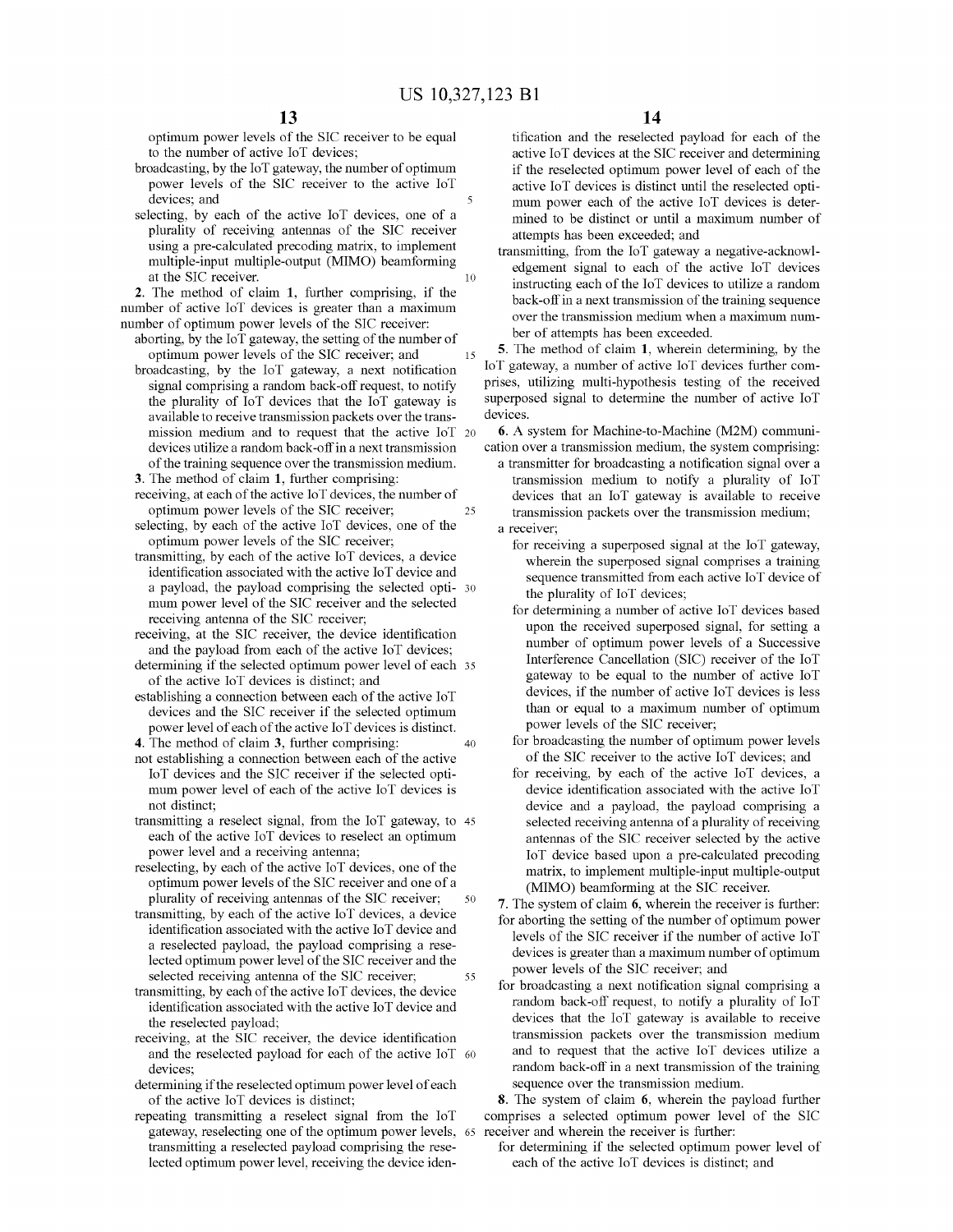10

25

optimum power levels of the SIC receiver to be equal to the number of active loT devices;

- broadcasting, by the loT gateway, the number of optimum power levels of the SIC receiver to the active loT devices; and
- selecting, by each of the active loT devices, one of a plurality of receiving antennas of the SIC receiver using a pre-calculated precoding matrix, to implement multiple-input multiple-output (MIMO) beamforming at the SIC receiver.

2. The method of claim 1, further comprising, if the number of active loT devices is greater than a maximum number of optimum power levels of the SIC receiver:

- 15 aborting, by the IoT gateway, the setting of the number of optimum power levels of the SIC receiver; and
- broadcasting, by the loT gateway, a next notification signal comprising a random back-off request, to notify the plurality of loT devices that the loT gateway is available to receive transmission packets over the transmission medium and to request that the active loT 20 devices utilize a random back-offin a next transmission of the training sequence over the transmission medium.
- 3. The method of claim 1, further comprising:
- receiving, at each of the active IoT devices, the number of optimum power levels of the SIC receiver;
- selecting, by each of the active loT devices, one of the optimum power levels of the SIC receiver;
- transmitting, by each of the active loT devices, a device identification associated with the active loT device and a payload, the payload comprising the selected opti- 30 mum power level of the SIC receiver and the selected receiving antenna of the SIC receiver;
- receiving, at the SIC receiver, the device identification and the payload from each of the active loT devices;
- determining if the selected optimum power level of each <sup>35</sup> of the active loT devices is distinct; and
- establishing a connection between each of the active  $I \circ T$ devices and the SIC receiver if the selected optimum power level of each of the active IoT devices is distinct.
- 40 4. The method of claim 3, further comprising: not establishing a connection between each of the active loT devices and the SIC receiver if the selected optimum power level of each of the active loT devices is not distinct;
- transmitting a reselect signal, from the loT gateway, to 45 each of the active loT devices to reselect an optimum power level and a receiving antenna;
- 50 reselecting, by each of the active loT devices, one of the optimum power levels of the SIC receiver and one of a plurality of receiving antennas of the SIC receiver;
- 55 transmitting, by each of the active loT devices, a device identification associated with the active loT device and a reselected payload, the payload comprising a reselected optimum power level of the SIC receiver and the selected receiving antenna of the SIC receiver;
- transmitting, by each of the active IoT devices, the device identification associated with the active loT device and the reselected payload;
- receiving, at the SIC receiver, the device identification and the reselected payload for each of the active IoT 60 devices;
- determining if the reselected optimum power level of each of the active loT devices is distinct;
- gateway, reselecting one of the optimum power levels, 65 receiver and wherein the receiver is further: repeating transmitting a reselect signal from the loT transmitting a reselected payload comprising the reselected optimum power level, receiving the device iden-

tification and the reselected payload for each of the active loT devices at the SIC receiver and determining if the reselected optimum power level of each of the active loT devices is distinct until the reselected optimum power each of the active loT devices is determined to be distinct or until a maximum number of attempts has been exceeded; and

transmitting, from the loT gateway a negative-acknowledgement signal to each of the active loT devices instructing each of the IoT devices to utilize a random back-off in a next transmission of the training sequence over the transmission medium when a maximum number of attempts has been exceeded.

5. The method of claim 1, wherein determining, by the loT gateway, a number of active loT devices further comprises, utilizing multi-hypothesis testing of the received superposed signal to determine the number of active loT devices.

6. A system for Machine-to-Machine (M2M) communication over a transmission medium, the system comprising:

- a transmitter for broadcasting a notification signal over a transmission medium to notify a plurality of loT devices that an loT gateway is available to receive transmission packets over the transmission medium; a receiver;
	- for receiving a superposed signal at the loT gateway, wherein the superposed signal comprises a training sequence transmitted from each active loT device of the plurality of loT devices;
	- for determining a number of active loT devices based upon the received superposed signal, for setting a number of optimum power levels of a Successive Interference Cancellation (SIC) receiver of the loT gateway to be equal to the number of active loT devices, if the number of active loT devices is less than or equal to a maximum number of optimum power levels of the SIC receiver;
	- for broadcasting the number of optimum power levels of the SIC receiver to the active loT devices; and
	- for receiving, by each of the active loT devices, a device identification associated with the active loT device and a payload, the payload comprising a selected receiving antenna of a plurality of receiving antennas of the SIC receiver selected by the active loT device based upon a pre-calculated precoding matrix, to implement multiple-input multiple-output (MIMO) beamforming at the SIC receiver.
- 7. The system of claim 6, wherein the receiver is further: for aborting the setting of the number of optimum power levels of the SIC receiver if the number of active loT devices is greater than a maximum number of optimum power levels of the SIC receiver; and
- for broadcasting a next notification signal comprising a random back-off request, to notify a plurality of loT devices that the loT gateway is available to receive transmission packets over the transmission medium and to request that the active loT devices utilize a random back-off in a next transmission of the training sequence over the transmission medium.

8. The system of claim 6, wherein the payload further comprises a selected optimum power level of the SIC

for determining if the selected optimum power level of each of the active loT devices is distinct; and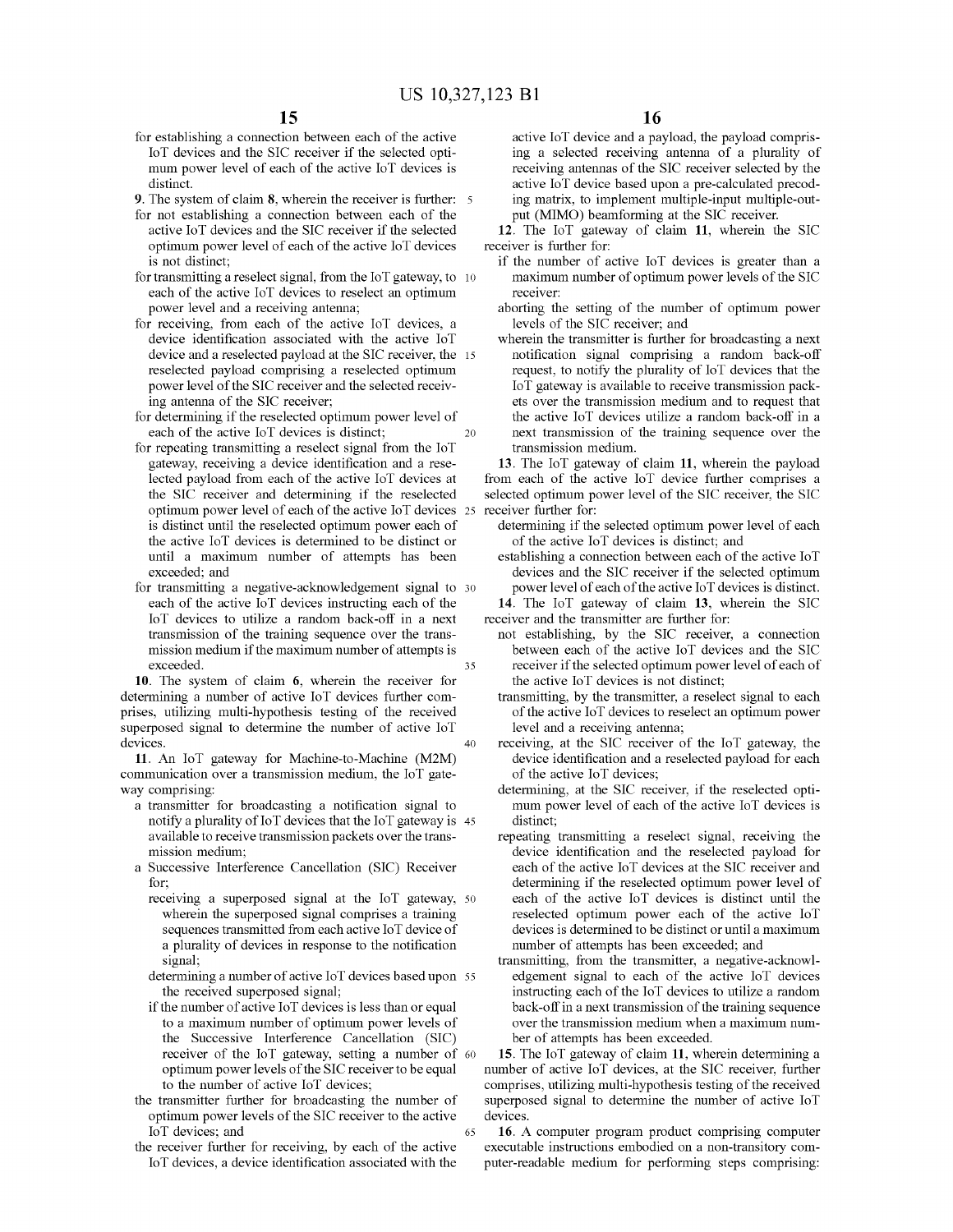for establishing a connection between each of the active loT devices and the SIC receiver if the selected optimum power level of each of the active loT devices is distinct.

9. The system of claim 8, wherein the receiver is further:

- for not establishing a connection between each of the active loT devices and the SIC receiver if the selected optimum power level of each of the active IoT devices is not distinct;
- for transmitting a reselect signal, from the loT gateway, to 10 each of the active loT devices to reselect an optimum power level and a receiving antenna;
- for receiving, from each of the active loT devices, a device identification associated with the active loT device and a reselected payload at the SIC receiver, the 15 reselected payload comprising a reselected optimum power level of the SIC receiver and the selected receiving antenna of the SIC receiver;
- 20 for determining if the reselected optimum power level of each of the active loT devices is distinct;
- optimum power level of each of the active IoT devices 25 receiver further for: for repeating transmitting a reselect signal from the loT gateway, receiving a device identification and a reselected payload from each of the active loT devices at the SIC receiver and determining if the reselected is distinct until the reselected optimum power each of the active loT devices is determined to be distinct or until a maximum number of attempts has been exceeded; and
- 35 for transmitting a negative-acknowledgement signal to 30 each of the active loT devices instructing each of the loT devices to utilize a random back-off in a next transmission of the training sequence over the transmission medium if the maximum number of attempts is exceeded.

40 10. The system of claim 6, wherein the receiver for determining a number of active loT devices further comprises, utilizing multi-hypothesis testing of the received superposed signal to determine the number of active loT devices.

11. An loT gateway for Machine-to-Machine (M2M) commnnication over a transmission medium, the loT gateway comprising:

- a transmitter for broadcasting a notification signal to notify a plurality of  $I \circ T$  devices that the  $I \circ T$  gateway is 45 available to receive transmission packets over the transmission medium;
- a Successive Interference Cancellation (SIC) Receiver for;
	- receiving a superposed signal at the loT gateway, 50 wherein the superposed signal comprises a training sequences transmitted from each active 10T device of a plurality of devices in response to the notification signal;
	- determining a number of active loT devices based upon <sup>55</sup> the received superposed signal;
	- if the number of active IoT devices is less than or equal to a maximum number of optimum power levels of the Successive Interference Cancellation (SIC) receiver of the loT gateway, setting a number of <sup>60</sup> optimum power levels of the SIC receiver to be equal to the number of active loT devices;
- 65 the transmitter further for broadcasting the number of optimum power levels of the SIC receiver to the active loT devices; and
- the receiver further for receiving, by each of the active loT devices, a device identification associated with the

active loT device and a payload, the payload comprising a selected receiving antenna of a plurality of receiving antennas of the SIC receiver selected by the active loT device based upon a pre-calculated precoding matrix, to implement multiple-input multiple-output (MIMO) beamforming at the SIC receiver.

12. The loT gateway of claim 11, wherein the SIC receiver is further for:

- if the number of active loT devices is greater than a maximum number of optimum power levels of the SIC receiver:
- aborting the setting of the number of optimum power levels of the SIC receiver; and
- wherein the transmitter is further for broadcasting a next notification signal comprising a random back-off request, to notify the plurality of loT devices that the loT gateway is available to receive transmission packets over the transmission medium and to request that the active loT devices utilize a random back-off in a next transmission of the training sequence over the transmission medium.

13. The loT gateway of claim 11, wherein the payload from each of the active loT device further comprises a selected optimum power level of the SIC receiver, the SIC

- determining if the selected optimum power level of each of the active loT devices is distinct; and
- establishing a connection between each of the active IoT devices and the SIC receiver if the selected optimum power level of each of the active IoT devices is distinct.
- 14. The loT gateway of claim 13, wherein the SIC receiver and the transmitter are further for:
	- not establishing, by the SIC receiver, a connection between each of the active loT devices and the SIC receiver if the selected optimum power level of each of the active loT devices is not distinct;
	- transmitting, by the transmitter, a reselect signal to each of the active IoT devices to reselect an optimum power level and a receiving antenna;
	- receiving, at the SIC receiver of the loT gateway, the device identification and a reselected payload for each of the active loT devices;
	- determining, at the SIC receiver, if the reselected optimum power level of each of the active loT devices is distinct;
	- repeating transmitting a reselect signal, receiving the device identification and the reselected payload for each of the active loT devices at the SIC receiver and determining if the reselected optimum power level of each of the active loT devices is distinct nntil the reselected optimum power each of the active loT devices is determined to be distinct or until a maximum number of attempts has been exceeded; and
	- transmitting, from the transmitter, a negative-acknowledgement signal to each of the active loT devices instructing each of the IoT devices to utilize a random back-off in a next transmission of the training sequence over the transmission medium when a maximum number of attempts has been exceeded.

15. The loT gateway of claim 11, wherein determining a number of active loT devices, at the SIC receiver, further comprises, utilizing multi-hypothesis testing of the received superposed signal to determine the number of active loT devices.

16. A computer program product comprising computer executable instructions embodied on a non-transitory computer-readable medium for performing steps comprising: